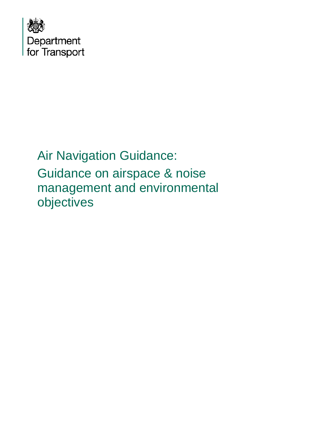

# Air Navigation Guidance: Guidance on airspace & noise management and environmental objectives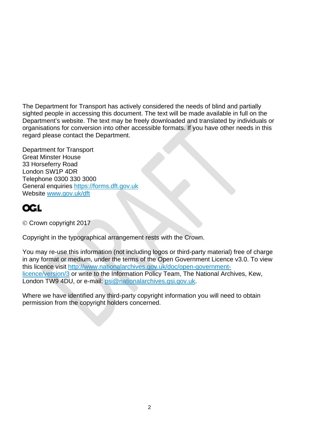The Department for Transport has actively considered the needs of blind and partially sighted people in accessing this document. The text will be made available in full on the Department's website. The text may be freely downloaded and translated by individuals or organisations for conversion into other accessible formats. If you have other needs in this regard please contact the Department.

Department for Transport Great Minster House 33 Horseferry Road London SW1P 4DR Telephone 0300 330 3000 General enquiries [https://forms.dft.gov.uk](https://forms.dft.gov.uk/) Website [www.gov.uk/dft](http://www.gov.uk/dft)

## **OGL**

Crown copyright 2017

Copyright in the typographical arrangement rests with the Crown.

You may re-use this information (not including logos or third-party material) free of charge in any format or medium, under the terms of the Open Government Licence v3.0. To view this licence visit [http://www.nationalarchives.gov.uk/doc/open-government](http://www.nationalarchives.gov.uk/doc/open-government-licence/version/3)[licence/version/3](http://www.nationalarchives.gov.uk/doc/open-government-licence/version/3) or write to the Information Policy Team, The National Archives, Kew, London TW9 4DU, or e-mail: [psi@nationalarchives.gsi.gov.uk.](mailto:psi@nationalarchives.gsi.gov.uk)

Where we have identified any third-party copyright information you will need to obtain permission from the copyright holders concerned.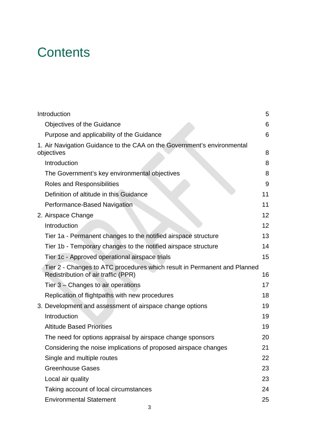# **Contents**

| Introduction                                                                                                    | 5               |
|-----------------------------------------------------------------------------------------------------------------|-----------------|
| <b>Objectives of the Guidance</b>                                                                               | 6               |
| Purpose and applicability of the Guidance                                                                       | 6               |
| 1. Air Navigation Guidance to the CAA on the Government's environmental<br>objectives                           | 8               |
| Introduction                                                                                                    | 8               |
| The Government's key environmental objectives                                                                   | 8               |
| Roles and Responsibilities                                                                                      | 9               |
| Definition of altitude in this Guidance                                                                         | 11              |
| Performance-Based Navigation                                                                                    | 11              |
| 2. Airspace Change                                                                                              | 12              |
| Introduction                                                                                                    | 12 <sup>2</sup> |
| Tier 1a - Permanent changes to the notified airspace structure                                                  | 13              |
| Tier 1b - Temporary changes to the notified airspace structure                                                  | 14              |
| Tier 1c - Approved operational airspace trials                                                                  | 15              |
| Tier 2 - Changes to ATC procedures which result in Permanent and Planned<br>Redistribution of air traffic (PPR) | 16              |
| Tier $3$ – Changes to air operations                                                                            | 17              |
| Replication of flightpaths with new procedures                                                                  | 18              |
| 3. Development and assessment of airspace change options                                                        | 19              |
| Introduction                                                                                                    | 19              |
| <b>Altitude Based Priorities</b>                                                                                | 19              |
| The need for options appraisal by airspace change sponsors                                                      | 20              |
| Considering the noise implications of proposed airspace changes                                                 | 21              |
| Single and multiple routes                                                                                      | 22              |
| <b>Greenhouse Gases</b>                                                                                         | 23              |
| Local air quality                                                                                               | 23              |
| Taking account of local circumstances                                                                           | 24              |
| <b>Environmental Statement</b>                                                                                  | 25              |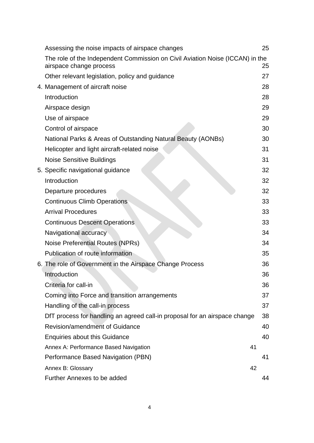| Assessing the noise impacts of airspace changes                                                          |    | 25 |
|----------------------------------------------------------------------------------------------------------|----|----|
| The role of the Independent Commission on Civil Aviation Noise (ICCAN) in the<br>airspace change process |    | 25 |
| Other relevant legislation, policy and guidance                                                          |    | 27 |
| 4. Management of aircraft noise                                                                          |    | 28 |
| Introduction                                                                                             |    | 28 |
| Airspace design                                                                                          |    | 29 |
| Use of airspace                                                                                          |    | 29 |
| Control of airspace                                                                                      |    | 30 |
| National Parks & Areas of Outstanding Natural Beauty (AONBs)                                             |    | 30 |
| Helicopter and light aircraft-related noise                                                              |    | 31 |
| <b>Noise Sensitive Buildings</b>                                                                         |    | 31 |
| 5. Specific navigational guidance                                                                        |    | 32 |
| Introduction                                                                                             |    | 32 |
| Departure procedures                                                                                     |    | 32 |
| <b>Continuous Climb Operations</b>                                                                       |    | 33 |
| <b>Arrival Procedures</b>                                                                                |    | 33 |
| <b>Continuous Descent Operations</b>                                                                     |    | 33 |
| Navigational accuracy                                                                                    |    | 34 |
| Noise Preferential Routes (NPRs)                                                                         |    | 34 |
| Publication of route information                                                                         |    | 35 |
| 6. The role of Government in the Airspace Change Process                                                 |    | 36 |
| Introduction                                                                                             |    | 36 |
| Criteria for call-in                                                                                     |    | 36 |
| Coming into Force and transition arrangements                                                            |    | 37 |
| Handling of the call-in process                                                                          |    | 37 |
| DfT process for handling an agreed call-in proposal for an airspace change                               |    | 38 |
| Revision/amendment of Guidance                                                                           |    | 40 |
| <b>Enquiries about this Guidance</b>                                                                     |    | 40 |
| Annex A: Performance Based Navigation                                                                    | 41 |    |
| Performance Based Navigation (PBN)                                                                       |    | 41 |
| Annex B: Glossary                                                                                        | 42 |    |
| Further Annexes to be added                                                                              |    | 44 |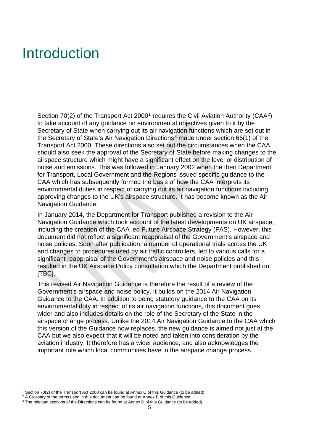# <span id="page-4-0"></span>Introduction

Section 70([2](#page-4-2)) of the Transport Act  $2000<sup>1</sup>$  $2000<sup>1</sup>$  $2000<sup>1</sup>$  requires the Civil Aviation Authority (CAA<sup>2</sup>) to take account of any guidance on environmental objectives given to it by the Secretary of State when carrying out its air navigation functions which are set out in the Secretary of State's Air Navigation Directions<sup>[3](#page-4-3)</sup> made under section  $66(1)$  of the Transport Act 2000. These directions also set out the circumstances when the CAA should also seek the approval of the Secretary of State before making changes to the airspace structure which might have a significant effect on the level or distribution of noise and emissions. This was followed in January 2002 when the then Department for Transport, Local Government and the Regions issued specific guidance to the CAA which has subsequently formed the basis of how the CAA interprets its environmental duties in respect of carrying out its air navigation functions including approving changes to the UK's airspace structure. It has become known as the Air Navigation Guidance.

In January 2014, the Department for Transport published a revision to the Air Navigation Guidance which took account of the latest developments on UK airspace, including the creation of the CAA led Future Airspace Strategy (FAS). However, this document did not reflect a significant reappraisal of the Government's airspace and noise policies. Soon after publication, a number of operational trials across the UK and changes to procedures used by air traffic controllers, led to various calls for a significant reappraisal of the Government's airspace and noise policies and this resulted in the UK Airspace Policy consultation which the Department published on [TBC].

This revised Air Navigation Guidance is therefore the result of a review of the Government's airspace and noise policy. It builds on the 2014 Air Navigation Guidance to the CAA. In addition to being statutory guidance to the CAA on its environmental duty in respect of its air navigation functions, this document goes wider and also includes details on the role of the Secretary of the State in the airspace change process. Unlike the 2014 Air Navigation Guidance to the CAA which this version of the Guidance now replaces, the new guidance is aimed not just at the CAA but we also expect that it will be noted and taken into consideration by the aviation industry. It therefore has a wider audience, and also acknowledges the important role which local communities have in the airspace change process.

<sup>&</sup>lt;sup>1</sup> Section 70(2) of the Transport Act 2000 can be found at Annex C of this Guidance (to be added).

<span id="page-4-2"></span><span id="page-4-1"></span> $2$  A Glossary of the terms used in this document can be found at Annex B of this Guidance.

<span id="page-4-3"></span><sup>&</sup>lt;sup>3</sup> The relevant sections of the Directions can be found at Annex D of this Guidance (to be added).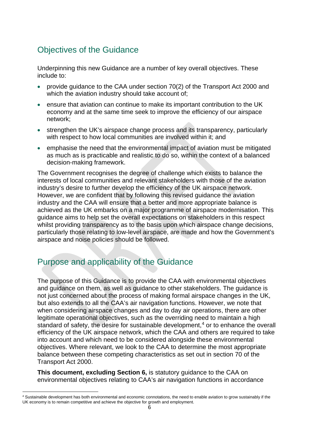### <span id="page-5-0"></span>Objectives of the Guidance

Underpinning this new Guidance are a number of key overall objectives. These include to:

- provide guidance to the CAA under section 70(2) of the Transport Act 2000 and which the aviation industry should take account of;
- ensure that aviation can continue to make its important contribution to the UK economy and at the same time seek to improve the efficiency of our airspace network;
- strengthen the UK's airspace change process and its transparency, particularly with respect to how local communities are involved within it; and
- emphasise the need that the environmental impact of aviation must be mitigated as much as is practicable and realistic to do so, within the context of a balanced decision-making framework.

The Government recognises the degree of challenge which exists to balance the interests of local communities and relevant stakeholders with those of the aviation industry's desire to further develop the efficiency of the UK airspace network. However, we are confident that by following this revised guidance the aviation industry and the CAA will ensure that a better and more appropriate balance is achieved as the UK embarks on a major programme of airspace modernisation. This guidance aims to help set the overall expectations on stakeholders in this respect whilst providing transparency as to the basis upon which airspace change decisions, particularly those relating to low-level airspace, are made and how the Government's airspace and noise policies should be followed.

## <span id="page-5-1"></span>Purpose and applicability of the Guidance

The purpose of this Guidance is to provide the CAA with environmental objectives and guidance on them, as well as guidance to other stakeholders. The guidance is not just concerned about the process of making formal airspace changes in the UK, but also extends to all the CAA's air navigation functions. However, we note that when considering airspace changes and day to day air operations, there are other legitimate operational objectives, such as the overriding need to maintain a high standard of safety, the desire for sustainable development, $4$  or to enhance the overall efficiency of the UK airspace network, which the CAA and others are required to take into account and which need to be considered alongside these environmental objectives. Where relevant, we look to the CAA to determine the most appropriate balance between these competing characteristics as set out in section 70 of the Transport Act 2000.

**This document, excluding Section 6,** is statutory guidance to the CAA on environmental objectives relating to CAA's air navigation functions in accordance

<span id="page-5-2"></span> <sup>4</sup> Sustainable development has both environmental and economic connotations, the need to enable aviation to grow sustainably if the UK economy is to remain competitive and achieve the objective for growth and employment.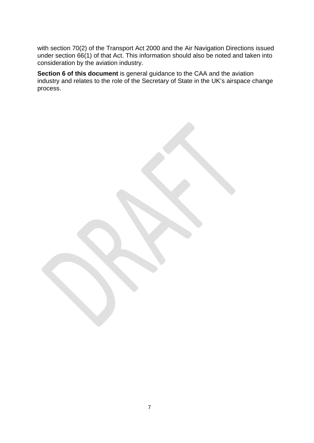with section 70(2) of the Transport Act 2000 and the Air Navigation Directions issued under section 66(1) of that Act. This information should also be noted and taken into consideration by the aviation industry.

**Section 6 of this document** is general guidance to the CAA and the aviation industry and relates to the role of the Secretary of State in the UK's airspace change process.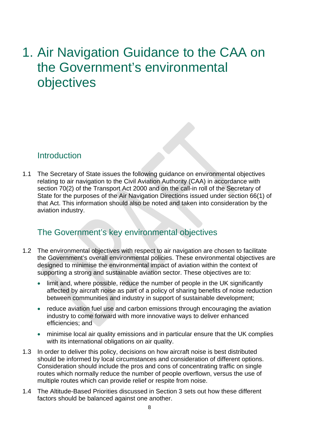# <span id="page-7-0"></span>1. Air Navigation Guidance to the CAA on the Government's environmental objectives

#### <span id="page-7-1"></span>Introduction

1.1 The Secretary of State issues the following guidance on environmental objectives relating to air navigation to the Civil Aviation Authority (CAA) in accordance with section 70(2) of the Transport Act 2000 and on the call-in roll of the Secretary of State for the purposes of the Air Navigation Directions issued under section 66(1) of that Act. This information should also be noted and taken into consideration by the aviation industry.

#### <span id="page-7-2"></span>The Government's key environmental objectives

- 1.2 The environmental objectives with respect to air navigation are chosen to facilitate the Government's overall environmental policies. These environmental objectives are designed to minimise the environmental impact of aviation within the context of supporting a strong and sustainable aviation sector. These objectives are to:
	- limit and, where possible, reduce the number of people in the UK significantly affected by aircraft noise as part of a policy of sharing benefits of noise reduction between communities and industry in support of sustainable development;
	- reduce aviation fuel use and carbon emissions through encouraging the aviation industry to come forward with more innovative ways to deliver enhanced efficiencies; and
	- minimise local air quality emissions and in particular ensure that the UK complies with its international obligations on air quality.
- 1.3 In order to deliver this policy, decisions on how aircraft noise is best distributed should be informed by local circumstances and consideration of different options. Consideration should include the pros and cons of concentrating traffic on single routes which normally reduce the number of people overflown, versus the use of multiple routes which can provide relief or respite from noise.
- 1.4 The Altitude-Based Priorities discussed in Section 3 sets out how these different factors should be balanced against one another.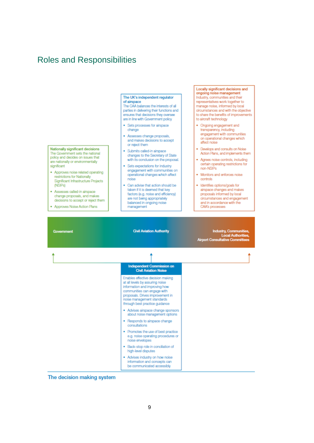#### <span id="page-8-0"></span>Roles and Responsibilities



Locally significant decisions and

The decision making system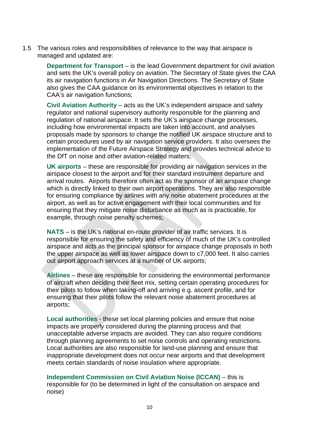1.5 The various roles and responsibilities of relevance to the way that airspace is managed and updated are:

> **Department for Transport** – is the lead Government department for civil aviation and sets the UK's overall policy on aviation. The Secretary of State gives the CAA its air navigation functions in Air Navigation Directions. The Secretary of State also gives the CAA guidance on its environmental objectives in relation to the CAA's air navigation functions;

**Civil Aviation Authority** – acts as the UK's independent airspace and safety regulator and national supervisory authority responsible for the planning and regulation of national airspace. It sets the UK's airspace change processes, including how environmental impacts are taken into account, and analyses proposals made by sponsors to change the notified UK airspace structure and to certain procedures used by air navigation service providers. It also oversees the implementation of the Future Airspace Strategy and provides technical advice to the DfT on noise and other aviation-related matters;

**UK airports** – these are responsible for providing air navigation services in the airspace closest to the airport and for their standard instrument departure and arrival routes. Airports therefore often act as the sponsor of an airspace change which is directly linked to their own airport operations. They are also responsible for ensuring compliance by airlines with any noise abatement procedures at the airport, as well as for active engagement with their local communities and for ensuring that they mitigate noise disturbance as much as is practicable, for example, through noise penalty schemes;

**NATS** – is the UK's national en-route provider of air traffic services. It is responsible for ensuring the safety and efficiency of much of the UK's controlled airspace and acts as the principal sponsor for airspace change proposals in both the upper airspace as well as lower airspace down to c7,000 feet. It also carries out airport approach services at a number of UK airports;

**Airlines** – these are responsible for considering the environmental performance of aircraft when deciding their fleet mix, setting certain operating procedures for their pilots to follow when taking-off and arriving e.g. ascent profile, and for ensuring that their pilots follow the relevant noise abatement procedures at airports;

**Local authorities** - these set local planning policies and ensure that noise impacts are properly considered during the planning process and that unacceptable adverse impacts are avoided. They can also require conditions through planning agreements to set noise controls and operating restrictions. Local authorities are also responsible for land-use planning and ensure that inappropriate development does not occur near airports and that development meets certain standards of noise insulation where appropriate.

**Independent Commission on Civil Aviation Noise (ICCAN)** – this is responsible for (to be determined in light of the consultation on airspace and noise)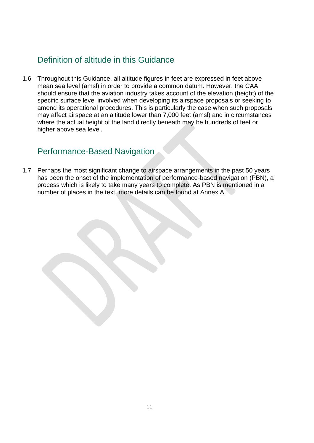## <span id="page-10-0"></span>Definition of altitude in this Guidance

1.6 Throughout this Guidance, all altitude figures in feet are expressed in feet above mean sea level (amsl) in order to provide a common datum. However, the CAA should ensure that the aviation industry takes account of the elevation (height) of the specific surface level involved when developing its airspace proposals or seeking to amend its operational procedures. This is particularly the case when such proposals may affect airspace at an altitude lower than 7,000 feet (amsl) and in circumstances where the actual height of the land directly beneath may be hundreds of feet or higher above sea level.

#### <span id="page-10-1"></span>Performance-Based Navigation

1.7 Perhaps the most significant change to airspace arrangements in the past 50 years has been the onset of the implementation of performance-based navigation (PBN), a process which is likely to take many years to complete. As PBN is mentioned in a number of places in the text, more details can be found at Annex A.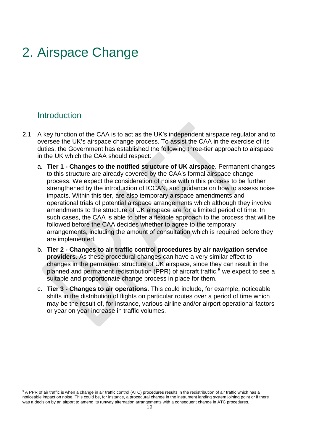# <span id="page-11-0"></span>2. Airspace Change

#### <span id="page-11-1"></span>**Introduction**

- 2.1 A key function of the CAA is to act as the UK's independent airspace regulator and to oversee the UK's airspace change process. To assist the CAA in the exercise of its duties, the Government has established the following three-tier approach to airspace in the UK which the CAA should respect:
	- a. **Tier 1 - Changes to the notified structure of UK airspace**. Permanent changes to this structure are already covered by the CAA's formal airspace change process. We expect the consideration of noise within this process to be further strengthened by the introduction of ICCAN, and guidance on how to assess noise impacts. Within this tier, are also temporary airspace amendments and operational trials of potential airspace arrangements which although they involve amendments to the structure of UK airspace are for a limited period of time. In such cases, the CAA is able to offer a flexible approach to the process that will be followed before the CAA decides whether to agree to the temporary arrangements, including the amount of consultation which is required before they are implemented.
	- b. **Tier 2 - Changes to air traffic control procedures by air navigation service providers**. As these procedural changes can have a very similar effect to changes in the permanent structure of UK airspace, since they can result in the planned and permanent redistribution (PPR) of aircraft traffic, [5](#page-11-2) we expect to see a suitable and proportionate change process in place for them.
	- c. **Tier 3 - Changes to air operations**. This could include, for example, noticeable shifts in the distribution of flights on particular routes over a period of time which may be the result of, for instance, various airline and/or airport operational factors or year on year increase in traffic volumes.

<span id="page-11-2"></span><sup>&</sup>lt;sup>5</sup> A PPR of air traffic is when a change in air traffic control (ATC) procedures results in the redistribution of air traffic which has a noticeable impact on noise. This could be, for instance, a procedural change in the instrument landing system joining point or if there was a decision by an airport to amend its runway alternation arrangements with a consequent change in ATC procedures.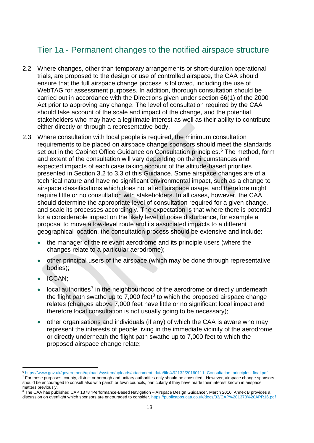### <span id="page-12-0"></span>Tier 1a - Permanent changes to the notified airspace structure

- 2.2 Where changes, other than temporary arrangements or short-duration operational trials, are proposed to the design or use of controlled airspace, the CAA should ensure that the full airspace change process is followed, including the use of WebTAG for assessment purposes. In addition, thorough consultation should be carried out in accordance with the Directions given under section 66(1) of the 2000 Act prior to approving any change. The level of consultation required by the CAA should take account of the scale and impact of the change, and the potential stakeholders who may have a legitimate interest as well as their ability to contribute either directly or through a representative body.
- 2.3 Where consultation with local people is required, the minimum consultation requirements to be placed on airspace change sponsors should meet the standards set out in the Cabinet Office Guidance on Consultation principles. [6](#page-12-1) The method, form and extent of the consultation will vary depending on the circumstances and expected impacts of each case taking account of the altitude-based priorities presented in Section 3.2 to 3.3 of this Guidance. Some airspace changes are of a technical nature and have no significant environmental impact, such as a change to airspace classifications which does not affect airspace usage, and therefore might require little or no consultation with stakeholders. In all cases, however, the CAA should determine the appropriate level of consultation required for a given change, and scale its processes accordingly. The expectation is that where there is potential for a considerable impact on the likely level of noise disturbance, for example a proposal to move a low-level route and its associated impacts to a different geographical location, the consultation process should be extensive and include:
	- the manager of the relevant aerodrome and its principle users (where the changes relate to a particular aerodrome);
	- other principal users of the airspace (which may be done through representative bodies);
	- ICCAN;
	- local authorities<sup>[7](#page-12-2)</sup> in the neighbourhood of the aerodrome or directly underneath the flight path swathe up to  $7.000$  feet<sup>[8](#page-12-3)</sup> to which the proposed airspace change relates (changes above 7,000 feet have little or no significant local impact and therefore local consultation is not usually going to be necessary);
	- other organisations and individuals (if any) of which the CAA is aware who may represent the interests of people living in the immediate vicinity of the aerodrome or directly underneath the flight path swathe up to 7,000 feet to which the proposed airspace change relate;

<span id="page-12-1"></span> <sup>6</sup> [https://www.gov.uk/government/uploads/system/uploads/attachment\\_data/file/492132/20160111\\_Consultation\\_principles\\_final.pdf](https://www.gov.uk/government/uploads/system/uploads/attachment_data/file/492132/20160111_Consultation_principles_final.pdf)

<span id="page-12-2"></span> $<sup>7</sup>$  For these purposes, county, district or borough and unitary authorities only should be consulted. However, airspace change sponsors</sup> should be encouraged to consult also with parish or town councils, particularly if they have made their interest known in airspace matters previously.

<span id="page-12-3"></span><sup>8</sup> The CAA has published CAP 1378 "Performance-Based Navigation – Airspace Design Guidance", March 2016. Annex B provides a discussion on overflight which sponsors are encouraged to consider.<https://publicapps.caa.co.uk/docs/33/CAP%201378%20APR16.pdf>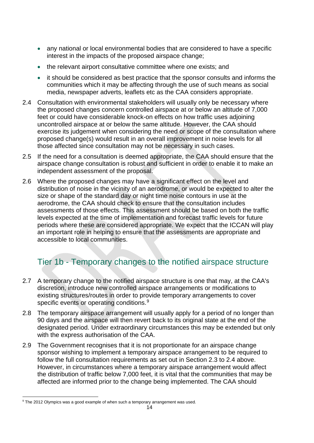- any national or local environmental bodies that are considered to have a specific interest in the impacts of the proposed airspace change;
- the relevant airport consultative committee where one exists; and
- it should be considered as best practice that the sponsor consults and informs the communities which it may be affecting through the use of such means as social media, newspaper adverts, leaflets etc as the CAA considers appropriate.
- 2.4 Consultation with environmental stakeholders will usually only be necessary where the proposed changes concern controlled airspace at or below an altitude of 7,000 feet or could have considerable knock-on effects on how traffic uses adjoining uncontrolled airspace at or below the same altitude. However, the CAA should exercise its judgement when considering the need or scope of the consultation where proposed change(s) would result in an overall improvement in noise levels for all those affected since consultation may not be necessary in such cases.
- 2.5 If the need for a consultation is deemed appropriate, the CAA should ensure that the airspace change consultation is robust and sufficient in order to enable it to make an independent assessment of the proposal.
- 2.6 Where the proposed changes may have a significant effect on the level and distribution of noise in the vicinity of an aerodrome, or would be expected to alter the size or shape of the standard day or night time noise contours in use at the aerodrome, the CAA should check to ensure that the consultation includes assessments of those effects. This assessment should be based on both the traffic levels expected at the time of implementation and forecast traffic levels for future periods where these are considered appropriate. We expect that the ICCAN will play an important role in helping to ensure that the assessments are appropriate and accessible to local communities.

## <span id="page-13-0"></span>Tier 1b - Temporary changes to the notified airspace structure

- 2.7 A temporary change to the notified airspace structure is one that may, at the CAA's discretion, introduce new controlled airspace arrangements or modifications to existing structures/routes in order to provide temporary arrangements to cover specific events or operating conditions.<sup>[9](#page-13-1)</sup>
- 2.8 The temporary airspace arrangement will usually apply for a period of no longer than 90 days and the airspace will then revert back to its original state at the end of the designated period. Under extraordinary circumstances this may be extended but only with the express authorisation of the CAA.
- 2.9 The Government recognises that it is not proportionate for an airspace change sponsor wishing to implement a temporary airspace arrangement to be required to follow the full consultation requirements as set out in Section 2.3 to 2.4 above. However, in circumstances where a temporary airspace arrangement would affect the distribution of traffic below 7,000 feet, it is vital that the communities that may be affected are informed prior to the change being implemented. The CAA should

<span id="page-13-1"></span> <sup>9</sup> The 2012 Olympics was a good example of when such a temporary arrangement was used.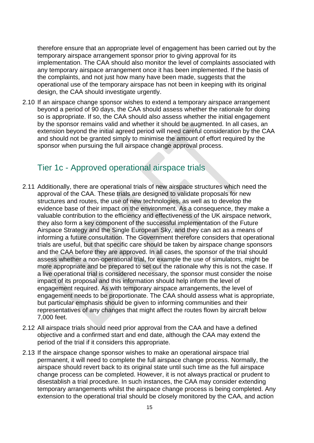therefore ensure that an appropriate level of engagement has been carried out by the temporary airspace arrangement sponsor prior to giving approval for its implementation. The CAA should also monitor the level of complaints associated with any temporary airspace arrangement once it has been implemented. If the basis of the complaints, and not just how many have been made, suggests that the operational use of the temporary airspace has not been in keeping with its original design, the CAA should investigate urgently.

2.10 If an airspace change sponsor wishes to extend a temporary airspace arrangement beyond a period of 90 days, the CAA should assess whether the rationale for doing so is appropriate. If so, the CAA should also assess whether the initial engagement by the sponsor remains valid and whether it should be augmented. In all cases, an extension beyond the initial agreed period will need careful consideration by the CAA and should not be granted simply to minimise the amount of effort required by the sponsor when pursuing the full airspace change approval process.

#### <span id="page-14-0"></span>Tier 1c - Approved operational airspace trials

- 2.11 Additionally, there are operational trials of new airspace structures which need the approval of the CAA. These trials are designed to validate proposals for new structures and routes, the use of new technologies, as well as to develop the evidence base of their impact on the environment. As a consequence, they make a valuable contribution to the efficiency and effectiveness of the UK airspace network, they also form a key component of the successful implementation of the Future Airspace Strategy and the Single European Sky, and they can act as a means of informing a future consultation. The Government therefore considers that operational trials are useful, but that specific care should be taken by airspace change sponsors and the CAA before they are approved. In all cases, the sponsor of the trial should assess whether a non-operational trial, for example the use of simulators, might be more appropriate and be prepared to set out the rationale why this is not the case. If a live operational trial is considered necessary, the sponsor must consider the noise impact of its proposal and this information should help inform the level of engagement required. As with temporary airspace arrangements, the level of engagement needs to be proportionate. The CAA should assess what is appropriate, but particular emphasis should be given to informing communities and their representatives of any changes that might affect the routes flown by aircraft below 7,000 feet.
- 2.12 All airspace trials should need prior approval from the CAA and have a defined objective and a confirmed start and end date, although the CAA may extend the period of the trial if it considers this appropriate.
- 2.13 If the airspace change sponsor wishes to make an operational airspace trial permanent, it will need to complete the full airspace change process. Normally, the airspace should revert back to its original state until such time as the full airspace change process can be completed. However, it is not always practical or prudent to disestablish a trial procedure. In such instances, the CAA may consider extending temporary arrangements whilst the airspace change process is being completed. Any extension to the operational trial should be closely monitored by the CAA, and action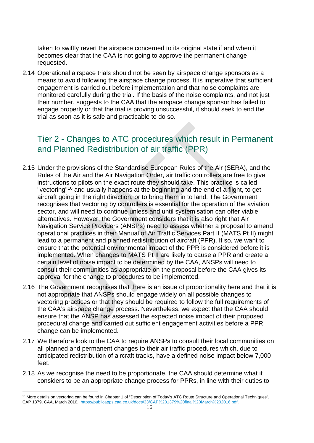taken to swiftly revert the airspace concerned to its original state if and when it becomes clear that the CAA is not going to approve the permanent change requested.

2.14 Operational airspace trials should not be seen by airspace change sponsors as a means to avoid following the airspace change process. It is imperative that sufficient engagement is carried out before implementation and that noise complaints are monitored carefully during the trial. If the basis of the noise complaints, and not just their number, suggests to the CAA that the airspace change sponsor has failed to engage properly or that the trial is proving unsuccessful, it should seek to end the trial as soon as it is safe and practicable to do so.

#### <span id="page-15-0"></span>Tier 2 - Changes to ATC procedures which result in Permanent and Planned Redistribution of air traffic (PPR)

- 2.15 Under the provisions of the Standardise European Rules of the Air (SERA), and the Rules of the Air and the Air Navigation Order, air traffic controllers are free to give instructions to pilots on the exact route they should take. This practice is called "vectoring"[10](#page-15-1) and usually happens at the beginning and the end of a flight, to get aircraft going in the right direction, or to bring them in to land. The Government recognises that vectoring by controllers is essential for the operation of the aviation sector, and will need to continue unless and until systemisation can offer viable alternatives. However, the Government considers that it is also right that Air Navigation Service Providers (ANSPs) need to assess whether a proposal to amend operational practices in their Manual of Air Traffic Services Part II (MATS Pt II) might lead to a permanent and planned redistribution of aircraft (PPR). If so, we want to ensure that the potential environmental impact of the PPR is considered before it is implemented. When changes to MATS Pt II are likely to cause a PPR and create a certain level of noise impact to be determined by the CAA, ANSPs will need to consult their communities as appropriate on the proposal before the CAA gives its approval for the change to procedures to be implemented.
- 2.16 The Government recognises that there is an issue of proportionality here and that it is not appropriate that ANSPs should engage widely on all possible changes to vectoring practices or that they should be required to follow the full requirements of the CAA's airspace change process. Nevertheless, we expect that the CAA should ensure that the ANSP has assessed the expected noise impact of their proposed procedural change and carried out sufficient engagement activities before a PPR change can be implemented.
- 2.17 We therefore look to the CAA to require ANSPs to consult their local communities on all planned and permanent changes to their air traffic procedures which, due to anticipated redistribution of aircraft tracks, have a defined noise impact below 7,000 feet.
- 2.18 As we recognise the need to be proportionate, the CAA should determine what it considers to be an appropriate change process for PPRs, in line with their duties to

<span id="page-15-1"></span><sup>&</sup>lt;sup>10</sup> More details on vectoring can be found in Chapter 1 of "Description of Today's ATC Route Structure and Operational Techniques", CAP 1379, CAA, March 2016. [https://publicapps.caa.co.uk/docs/33/CAP%201379%20final%20March%202016.pdf.](https://publicapps.caa.co.uk/docs/33/CAP%201379%20final%20March%202016.pdf)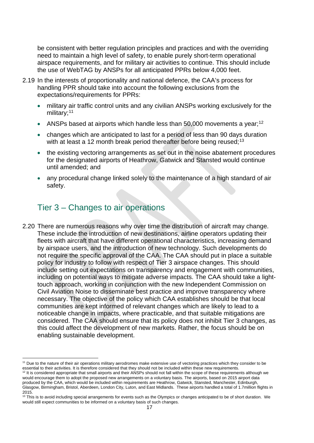be consistent with better regulation principles and practices and with the overriding need to maintain a high level of safety, to enable purely short-term operational airspace requirements, and for military air activities to continue. This should include the use of WebTAG by ANSPs for all anticipated PPRs below 4,000 feet.

- 2.19 In the interests of proportionality and national defence, the CAA's process for handling PPR should take into account the following exclusions from the expectations/requirements for PPRs:
	- military air traffic control units and any civilian ANSPs working exclusively for the military;<sup>[11](#page-16-1)</sup>
	- ANSPs based at airports which handle less than 50,000 movements a year;<sup>[12](#page-16-2)</sup>
	- changes which are anticipated to last for a period of less than 90 days duration with at least a 12 month break period thereafter before being reused;<sup>[13](#page-16-3)</sup>
	- the existing vectoring arrangements as set out in the noise abatement procedures for the designated airports of Heathrow, Gatwick and Stansted would continue until amended; and
	- any procedural change linked solely to the maintenance of a high standard of air safety.

## <span id="page-16-0"></span>Tier 3 – Changes to air operations

2.20 There are numerous reasons why over time the distribution of aircraft may change. These include the introduction of new destinations, airline operators updating their fleets with aircraft that have different operational characteristics, increasing demand by airspace users, and the introduction of new technology. Such developments do not require the specific approval of the CAA. The CAA should put in place a suitable policy for industry to follow with respect of Tier 3 airspace changes. This should include setting out expectations on transparency and engagement with communities, including on potential ways to mitigate adverse impacts. The CAA should take a lighttouch approach, working in conjunction with the new Independent Commission on Civil Aviation Noise to disseminate best practice and improve transparency where necessary. The objective of the policy which CAA establishes should be that local communities are kept informed of relevant changes which are likely to lead to a noticeable change in impacts, where practicable, and that suitable mitigations are considered. The CAA should ensure that its policy does not inhibit Tier 3 changes, as this could affect the development of new markets. Rather, the focus should be on enabling sustainable development.

<span id="page-16-1"></span><sup>&</sup>lt;sup>11</sup> Due to the nature of their air operations military aerodromes make extensive use of vectoring practices which they consider to be essential to their activities. It is therefore considered that they should not be inclu

<span id="page-16-2"></span><sup>&</sup>lt;sup>12</sup> It is considered appropriate that small airports and their ANSPs should not fall within the scope of these requirements although we would encourage them to adopt the proposed new arrangements on a voluntary basis. The airports, based on 2015 airport data produced by the CAA, which would be included within requirements are Heathrow, Gatwick, Stansted, Manchester, Edinburgh, Glasgow, Birmingham, Bristol, Aberdeen, London City, Luton, and East Midlands. These airports handled a total of 1.7million flights in 2015.

<span id="page-16-3"></span><sup>&</sup>lt;sup>13</sup> This is to avoid including special arrangements for events such as the Olympics or changes anticipated to be of short duration. We would still expect communities to be informed on a voluntary basis of such changes.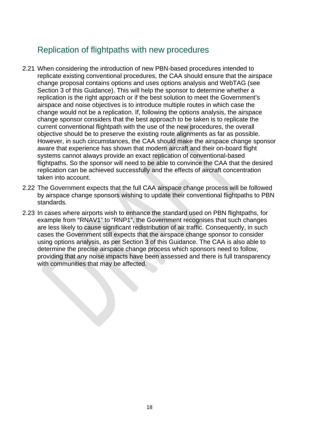#### <span id="page-17-0"></span>Replication of flightpaths with new procedures

- 2.21 When considering the introduction of new PBN-based procedures intended to replicate existing conventional procedures, the CAA should ensure that the airspace change proposal contains options and uses options analysis and WebTAG (see Section 3 of this Guidance). This will help the sponsor to determine whether a replication is the right approach or if the best solution to meet the Government's airspace and noise objectives is to introduce multiple routes in which case the change would not be a replication. If, following the options analysis, the airspace change sponsor considers that the best approach to be taken is to replicate the current conventional flightpath with the use of the new procedures, the overall objective should be to preserve the existing route alignments as far as possible. However, in such circumstances, the CAA should make the airspace change sponsor aware that experience has shown that modern aircraft and their on-board flight systems cannot always provide an exact replication of conventional-based flightpaths. So the sponsor will need to be able to convince the CAA that the desired replication can be achieved successfully and the effects of aircraft concentration taken into account.
- 2.22 The Government expects that the full CAA airspace change process will be followed by airspace change sponsors wishing to update their conventional flightpaths to PBN standards.
- 2.23 In cases where airports wish to enhance the standard used on PBN flightpaths, for example from "RNAV1" to "RNP1", the Government recognises that such changes are less likely to cause significant redistribution of air traffic. Consequently, in such cases the Government still expects that the airspace change sponsor to consider using options analysis, as per Section 3 of this Guidance. The CAA is also able to determine the precise airspace change process which sponsors need to follow, providing that any noise impacts have been assessed and there is full transparency with communities that may be affected.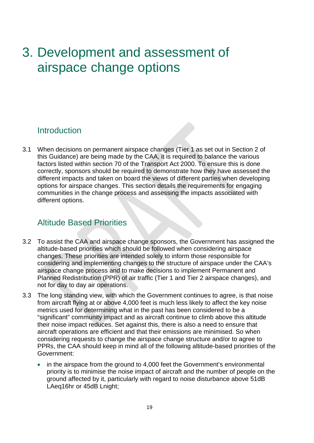# <span id="page-18-0"></span>3. Development and assessment of airspace change options

#### <span id="page-18-1"></span>**Introduction**

3.1 When decisions on permanent airspace changes (Tier 1 as set out in Section 2 of this Guidance) are being made by the CAA, it is required to balance the various factors listed within section 70 of the Transport Act 2000. To ensure this is done correctly, sponsors should be required to demonstrate how they have assessed the different impacts and taken on board the views of different parties when developing options for airspace changes. This section details the requirements for engaging communities in the change process and assessing the impacts associated with different options.

#### <span id="page-18-2"></span>Altitude Based Priorities

- 3.2 To assist the CAA and airspace change sponsors, the Government has assigned the altitude-based priorities which should be followed when considering airspace changes. These priorities are intended solely to inform those responsible for considering and implementing changes to the structure of airspace under the CAA's airspace change process and to make decisions to implement Permanent and Planned Redistribution (PPR) of air traffic (Tier 1 and Tier 2 airspace changes), and not for day to day air operations.
- 3.3 The long standing view, with which the Government continues to agree, is that noise from aircraft flying at or above 4,000 feet is much less likely to affect the key noise metrics used for determining what in the past has been considered to be a "significant" community impact and as aircraft continue to climb above this altitude their noise impact reduces. Set against this, there is also a need to ensure that aircraft operations are efficient and that their emissions are minimised. So when considering requests to change the airspace change structure and/or to agree to PPRs, the CAA should keep in mind all of the following altitude-based priorities of the Government:
	- in the airspace from the ground to 4,000 feet the Government's environmental priority is to minimise the noise impact of aircraft and the number of people on the ground affected by it, particularly with regard to noise disturbance above 51dB LAeq16hr or 45dB Lnight;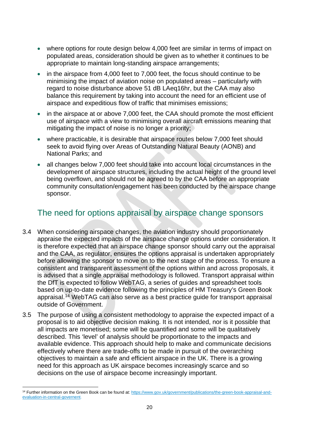- where options for route design below 4,000 feet are similar in terms of impact on populated areas, consideration should be given as to whether it continues to be appropriate to maintain long-standing airspace arrangements;
- in the airspace from 4,000 feet to 7,000 feet, the focus should continue to be minimising the impact of aviation noise on populated areas – particularly with regard to noise disturbance above 51 dB LAeq16hr, but the CAA may also balance this requirement by taking into account the need for an efficient use of airspace and expeditious flow of traffic that minimises emissions;
- in the airspace at or above 7,000 feet, the CAA should promote the most efficient use of airspace with a view to minimising overall aircraft emissions meaning that mitigating the impact of noise is no longer a priority;
- where practicable, it is desirable that airspace routes below 7,000 feet should seek to avoid flying over Areas of Outstanding Natural Beauty (AONB) and National Parks; and
- all changes below 7,000 feet should take into account local circumstances in the development of airspace structures, including the actual height of the ground level being overflown, and should not be agreed to by the CAA before an appropriate community consultation/engagement has been conducted by the airspace change sponsor.

#### <span id="page-19-0"></span>The need for options appraisal by airspace change sponsors

- 3.4 When considering airspace changes, the aviation industry should proportionately appraise the expected impacts of the airspace change options under consideration. It is therefore expected that an airspace change sponsor should carry out the appraisal and the CAA, as regulator, ensures the options appraisal is undertaken appropriately before allowing the sponsor to move on to the next stage of the process. To ensure a consistent and transparent assessment of the options within and across proposals, it is advised that a single appraisal methodology is followed. Transport appraisal within the DfT is expected to follow WebTAG, a series of guides and spreadsheet tools based on up-to-date evidence following the principles of HM Treasury's Green Book appraisal. [14](#page-19-1) WebTAG can also serve as a best practice guide for transport appraisal outside of Government.
- 3.5 The purpose of using a consistent methodology to appraise the expected impact of a proposal is to aid objective decision making. It is not intended, nor is it possible that all impacts are monetised; some will be quantified and some will be qualitatively described. This 'level' of analysis should be proportionate to the impacts and available evidence. This approach should help to make and communicate decisions effectively where there are trade-offs to be made in pursuit of the overarching objectives to maintain a safe and efficient airspace in the UK. There is a growing need for this approach as UK airspace becomes increasingly scarce and so decisions on the use of airspace become increasingly important.

<span id="page-19-1"></span><sup>&</sup>lt;sup>14</sup> Further information on the Green Book can be found at: [https://www.gov.uk/government/publications/the-green-book-appraisal-and](https://www.gov.uk/government/publications/the-green-book-appraisal-and-evaluation-in-central-governent)[evaluation-in-central-governent.](https://www.gov.uk/government/publications/the-green-book-appraisal-and-evaluation-in-central-governent)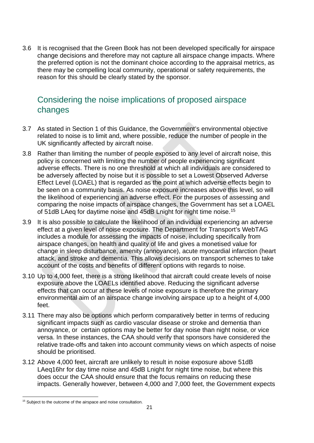3.6 It is recognised that the Green Book has not been developed specifically for airspace change decisions and therefore may not capture all airspace change impacts. Where the preferred option is not the dominant choice according to the appraisal metrics, as there may be compelling local community, operational or safety requirements, the reason for this should be clearly stated by the sponsor.

### <span id="page-20-0"></span>Considering the noise implications of proposed airspace changes

- 3.7 As stated in Section 1 of this Guidance, the Government's environmental objective related to noise is to limit and, where possible, reduce the number of people in the UK significantly affected by aircraft noise.
- 3.8 Rather than limiting the number of people exposed to any level of aircraft noise, this policy is concerned with limiting the number of people experiencing significant adverse effects. There is no one threshold at which all individuals are considered to be adversely affected by noise but it is possible to set a Lowest Observed Adverse Effect Level (LOAEL) that is regarded as the point at which adverse effects begin to be seen on a community basis. As noise exposure increases above this level, so will the likelihood of experiencing an adverse effect. For the purposes of assessing and comparing the noise impacts of airspace changes, the Government has set a LOAEL of 51dB LAeq for daytime noise and 45dB Lnight for night time noise. [15](#page-20-1)
- 3.9 It is also possible to calculate the likelihood of an individual experiencing an adverse effect at a given level of noise exposure. The Department for Transport's WebTAG includes a module for assessing the impacts of noise, including specifically from airspace changes, on health and quality of life and gives a monetised value for change in sleep disturbance, amenity (annoyance), acute myocardial infarction (heart attack, and stroke and dementia. This allows decisions on transport schemes to take account of the costs and benefits of different options with regards to noise.
- 3.10 Up to 4,000 feet, there is a strong likelihood that aircraft could create levels of noise exposure above the LOAELs identified above. Reducing the significant adverse effects that can occur at these levels of noise exposure is therefore the primary environmental aim of an airspace change involving airspace up to a height of 4,000 feet.
- 3.11 There may also be options which perform comparatively better in terms of reducing significant impacts such as cardio vascular disease or stroke and dementia than annoyance, or certain options may be better for day noise than night noise, or vice versa. In these instances, the CAA should verify that sponsors have considered the relative trade-offs and taken into account community views on which aspects of noise should be prioritised.
- 3.12 Above 4,000 feet, aircraft are unlikely to result in noise exposure above 51dB LAeq16hr for day time noise and 45dB Lnight for night time noise, but where this does occur the CAA should ensure that the focus remains on reducing these impacts. Generally however, between 4,000 and 7,000 feet, the Government expects

<span id="page-20-1"></span><sup>&</sup>lt;sup>15</sup> Subject to the outcome of the airspace and noise consultation.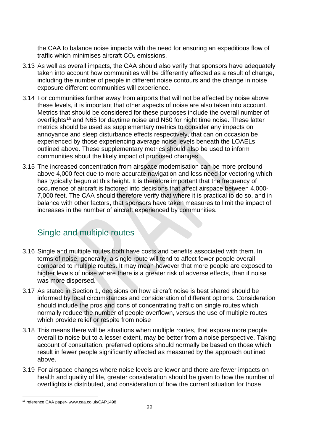the CAA to balance noise impacts with the need for ensuring an expeditious flow of traffic which minimises aircraft  $CO<sub>2</sub>$  emissions.

- 3.13 As well as overall impacts, the CAA should also verify that sponsors have adequately taken into account how communities will be differently affected as a result of change, including the number of people in different noise contours and the change in noise exposure different communities will experience.
- 3.14 For communities further away from airports that will not be affected by noise above these levels, it is important that other aspects of noise are also taken into account. Metrics that should be considered for these purposes include the overall number of overflights<sup>[16](#page-21-1)</sup> and N65 for daytime noise and N60 for night time noise. These latter metrics should be used as supplementary metrics to consider any impacts on annoyance and sleep disturbance effects respectively, that can on occasion be experienced by those experiencing average noise levels beneath the LOAELs outlined above. These supplementary metrics should also be used to inform communities about the likely impact of proposed changes.
- 3.15 The increased concentration from airspace modernisation can be more profound above 4,000 feet due to more accurate navigation and less need for vectoring which has typically begun at this height. It is therefore important that the frequency of occurrence of aircraft is factored into decisions that affect airspace between 4,000- 7,000 feet. The CAA should therefore verify that where it is practical to do so, and in balance with other factors, that sponsors have taken measures to limit the impact of increases in the number of aircraft experienced by communities.

### <span id="page-21-0"></span>Single and multiple routes

- 3.16 Single and multiple routes both have costs and benefits associated with them. In terms of noise, generally, a single route will tend to affect fewer people overall compared to multiple routes. It may mean however that more people are exposed to higher levels of noise where there is a greater risk of adverse effects, than if noise was more dispersed.
- 3.17 As stated in Section 1, decisions on how aircraft noise is best shared should be informed by local circumstances and consideration of different options. Consideration should include the pros and cons of concentrating traffic on single routes which normally reduce the number of people overflown, versus the use of multiple routes which provide relief or respite from noise
- 3.18 This means there will be situations when multiple routes, that expose more people overall to noise but to a lesser extent, may be better from a noise perspective. Taking account of consultation, preferred options should normally be based on those which result in fewer people significantly affected as measured by the approach outlined above.
- 3.19 For airspace changes where noise levels are lower and there are fewer impacts on health and quality of life, greater consideration should be given to how the number of overflights is distributed, and consideration of how the current situation for those

<span id="page-21-1"></span> <sup>16</sup> reference CAA paper- www.caa.co.uk/CAP1498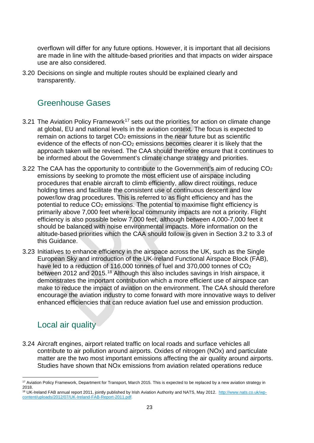overflown will differ for any future options. However, it is important that all decisions are made in line with the altitude-based priorities and that impacts on wider airspace use are also considered.

3.20 Decisions on single and multiple routes should be explained clearly and transparently.

#### <span id="page-22-0"></span>Greenhouse Gases

- 3.21 The Aviation Policy Framework<sup>[17](#page-22-2)</sup> sets out the priorities for action on climate change at global, EU and national levels in the aviation context. The focus is expected to remain on actions to target  $CO<sub>2</sub>$  emissions in the near future but as scientific evidence of the effects of non-CO<sub>2</sub> emissions becomes clearer it is likely that the approach taken will be revised. The CAA should therefore ensure that it continues to be informed about the Government's climate change strategy and priorities.
- 3.22 The CAA has the opportunity to contribute to the Government's aim of reducing CO2 emissions by seeking to promote the most efficient use of airspace including procedures that enable aircraft to climb efficiently, allow direct routings, reduce holding times and facilitate the consistent use of continuous descent and low power/low drag procedures. This is referred to as flight efficiency and has the potential to reduce  $CO<sub>2</sub>$  emissions. The potential to maximise flight efficiency is primarily above 7,000 feet where local community impacts are not a priority. Flight efficiency is also possible below 7,000 feet, although between 4,000-7,000 feet it should be balanced with noise environmental impacts. More information on the altitude-based priorities which the CAA should follow is given in Section 3.2 to 3.3 of this Guidance.
- 3.23 Initiatives to enhance efficiency in the airspace across the UK, such as the Single European Sky and introduction of the UK-Ireland Functional Airspace Block (FAB), have led to a reduction of 116,000 tonnes of fuel and 370,000 tonnes of CO<sub>2</sub> between 2012 and 2015.<sup>[18](#page-22-3)</sup> Although this also includes savings in Irish airspace, it demonstrates the important contribution which a more efficient use of airspace can make to reduce the impact of aviation on the environment. The CAA should therefore encourage the aviation industry to come forward with more innovative ways to deliver enhanced efficiencies that can reduce aviation fuel use and emission production.

#### <span id="page-22-1"></span>Local air quality

3.24 Aircraft engines, airport related traffic on local roads and surface vehicles all contribute to air pollution around airports. Oxides of nitrogen (NOx) and particulate matter are the two most important emissions affecting the air quality around airports. Studies have shown that NOx emissions from aviation related operations reduce

<span id="page-22-2"></span><sup>&</sup>lt;sup>17</sup> Aviation Policy Framework, Department for Transport, March 2015. This is expected to be replaced by a new aviation strategy in 2018.

<span id="page-22-3"></span><sup>18</sup> UK-Ireland FAB annual report 2011, jointly published by Irish Aviation Authority and NATS, May 2012. [http://www.nats.co.uk/wp](http://www.nats.co.uk/wp-content/uploads/2012/07/UK-Ireland-FAB-Report-2011.pdf)[content/uploads/2012/07/UK-Ireland-FAB-Report-2011.pdf.](http://www.nats.co.uk/wp-content/uploads/2012/07/UK-Ireland-FAB-Report-2011.pdf)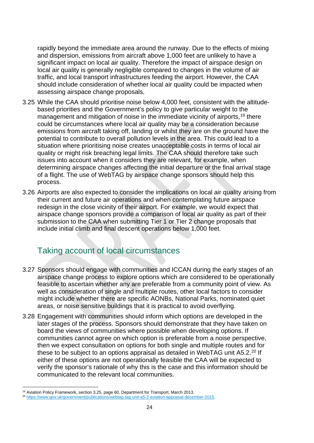rapidly beyond the immediate area around the runway. Due to the effects of mixing and dispersion, emissions from aircraft above 1,000 feet are unlikely to have a significant impact on local air quality. Therefore the impact of airspace design on local air quality is generally negligible compared to changes in the volume of air traffic, and local transport infrastructures feeding the airport. However, the CAA should include consideration of whether local air quality could be impacted when assessing airspace change proposals.

- 3.25 While the CAA should prioritise noise below 4,000 feet, consistent with the altitudebased priorities and the Government's policy to give particular weight to the management and mitigation of noise in the immediate vicinity of airports, <sup>[19](#page-23-1)</sup> there could be circumstances where local air quality may be a consideration because emissions from aircraft taking off, landing or whilst they are on the ground have the potential to contribute to overall pollution levels in the area. This could lead to a situation where prioritising noise creates unacceptable costs in terms of local air quality or might risk breaching legal limits. The CAA should therefore take such issues into account when it considers they are relevant, for example, when determining airspace changes affecting the initial departure or the final arrival stage of a flight. The use of WebTAG by airspace change sponsors should help this process.
- 3.26 Airports are also expected to consider the implications on local air quality arising from their current and future air operations and when contemplating future airspace redesign in the close vicinity of their airport. For example, we would expect that airspace change sponsors provide a comparison of local air quality as part of their submission to the CAA when submitting Tier 1 or Tier 2 change proposals that include initial climb and final descent operations below 1,000 feet.

### <span id="page-23-0"></span>Taking account of local circumstances

- 3.27 Sponsors should engage with communities and ICCAN during the early stages of an airspace change process to explore options which are considered to be operationally feasible to ascertain whether any are preferable from a community point of view. As well as consideration of single and multiple routes, other local factors to consider might include whether there are specific AONBs, National Parks, nominated quiet areas, or noise sensitive buildings that it is practical to avoid overflying.
- 3.28 Engagement with communities should inform which options are developed in the later stages of the process. Sponsors should demonstrate that they have taken on board the views of communities where possible when developing options. If communities cannot agree on which option is preferable from a noise perspective, then we expect consultation on options for both single and multiple routes and for these to be subject to an options appraisal as detailed in WebTAG unit A5.2.<sup>[20](#page-23-2)</sup> If either of these options are not operationally feasible the CAA will be expected to verify the sponsor's rationale of why this is the case and this information should be communicated to the relevant local communities.

<span id="page-23-1"></span><sup>&</sup>lt;sup>19</sup> Aviation Policy Framework, section 3.25, page 60, Department for Transport, March 2013.

<span id="page-23-2"></span><sup>20</sup> [https://www.gov.uk/government/publications/webtag-tag-unit-a5-2-aviation-appraisal-december-2015.](https://www.gov.uk/government/publications/webtag-tag-unit-a5-2-aviation-appraisal-december-2015)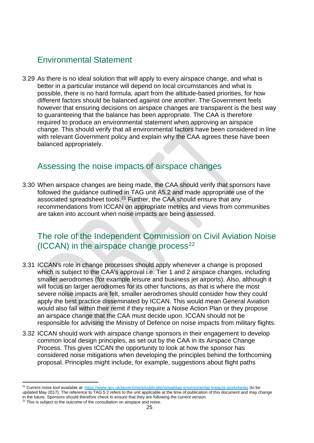### <span id="page-24-0"></span>Environmental Statement

3.29 As there is no ideal solution that will apply to every airspace change, and what is better in a particular instance will depend on local circumstances and what is possible, there is no hard formula, apart from the altitude-based priorities, for how different factors should be balanced against one another. The Government feels however that ensuring decisions on airspace changes are transparent is the best way to guaranteeing that the balance has been appropriate. The CAA is therefore required to produce an environmental statement when approving an airspace change. This should verify that all environmental factors have been considered in line with relevant Government policy and explain why the CAA agrees these have been balanced appropriately.

#### <span id="page-24-1"></span>Assessing the noise impacts of airspace changes

3.30 When airspace changes are being made, the CAA should verify that sponsors have followed the guidance outlined in TAG unit A5.2 and made appropriate use of the associated spreadsheet tools.<sup>[21](#page-24-3)</sup> Further, the CAA should ensure that any recommendations from ICCAN on appropriate metrics and views from communities are taken into account when noise impacts are being assessed.

#### <span id="page-24-2"></span>The role of the Independent Commission on Civil Aviation Noise  $(ICCAN)$  in the airspace change process<sup>[22](#page-24-4)</sup>

- 3.31 ICCAN's role in change processes should apply whenever a change is proposed which is subject to the CAA's approval i.e. Tier 1 and 2 airspace changes, including smaller aerodromes (for example leisure and business jet airports). Also, although it will focus on larger aerodromes for its other functions, as that is where the most severe noise impacts are felt, smaller aerodromes should consider how they could apply the best practice disseminated by ICCAN. This would mean General Aviation would also fall within their remit if they require a Noise Action Plan or they propose an airspace change that the CAA must decide upon. ICCAN should not be responsible for advising the Ministry of Defence on noise impacts from military flights.
- 3.32 ICCAN should work with airspace change sponsors in their engagement to develop common local design principles, as set out by the CAA in its Airspace Change Process. This gives ICCAN the opportunity to look at how the sponsor has considered noise mitigations when developing the principles behind the forthcoming proposal. Principles might include, for example, suggestions about flight paths

<span id="page-24-3"></span><sup>&</sup>lt;sup>21</sup> Current noise tool available at[: https://www.gov.uk/government/publications/webtag-environmental-impacts-worksheets](https://www.gov.uk/government/publications/webtag-environmental-impacts-worksheets) (to be updated May 2017). The reference to TAG 5.2 refers to the unit applicable at the time of publication of this document and may change

in the future. Sponsors should therefore check to ensure that they are following the current version.

<span id="page-24-4"></span> $22$  This is subject to the outcome of the consultation on airspace and noise.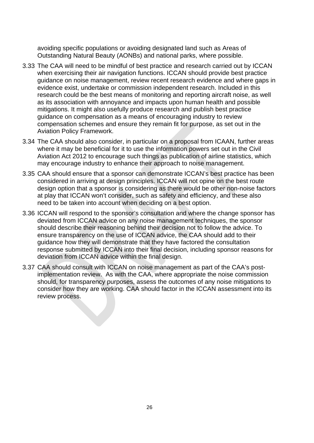avoiding specific populations or avoiding designated land such as Areas of Outstanding Natural Beauty (AONBs) and national parks, where possible.

- 3.33 The CAA will need to be mindful of best practice and research carried out by ICCAN when exercising their air navigation functions. ICCAN should provide best practice guidance on noise management, review recent research evidence and where gaps in evidence exist, undertake or commission independent research. Included in this research could be the best means of monitoring and reporting aircraft noise, as well as its association with annoyance and impacts upon human health and possible mitigations. It might also usefully produce research and publish best practice guidance on compensation as a means of encouraging industry to review compensation schemes and ensure they remain fit for purpose, as set out in the Aviation Policy Framework.
- 3.34 The CAA should also consider, in particular on a proposal from ICAAN, further areas where it may be beneficial for it to use the information powers set out in the Civil Aviation Act 2012 to encourage such things as publication of airline statistics, which may encourage industry to enhance their approach to noise management.
- 3.35 CAA should ensure that a sponsor can demonstrate ICCAN's best practice has been considered in arriving at design principles. ICCAN will not opine on the best route design option that a sponsor is considering as there would be other non-noise factors at play that ICCAN won't consider, such as safety and efficiency, and these also need to be taken into account when deciding on a best option.
- 3.36 ICCAN will respond to the sponsor's consultation and where the change sponsor has deviated from ICCAN advice on any noise management techniques, the sponsor should describe their reasoning behind their decision not to follow the advice. To ensure transparency on the use of ICCAN advice, the CAA should add to their guidance how they will demonstrate that they have factored the consultation response submitted by ICCAN into their final decision, including sponsor reasons for deviation from ICCAN advice within the final design.
- 3.37 CAA should consult with ICCAN on noise management as part of the CAA's postimplementation review. As with the CAA, where appropriate the noise commission should, for transparency purposes, assess the outcomes of any noise mitigations to consider how they are working. CAA should factor in the ICCAN assessment into its review process.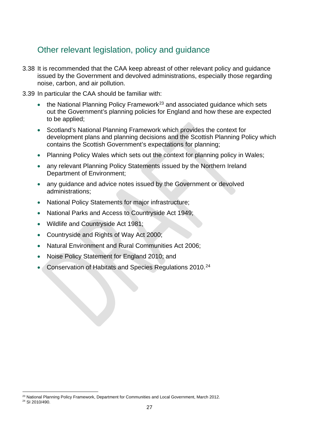### <span id="page-26-0"></span>Other relevant legislation, policy and guidance

- 3.38 It is recommended that the CAA keep abreast of other relevant policy and guidance issued by the Government and devolved administrations, especially those regarding noise, carbon, and air pollution.
- 3.39 In particular the CAA should be familiar with:
	- the National Planning Policy Framework<sup>[23](#page-26-1)</sup> and associated guidance which sets out the Government's planning policies for England and how these are expected to be applied;
	- Scotland's National Planning Framework which provides the context for development plans and planning decisions and the Scottish Planning Policy which contains the Scottish Government's expectations for planning;
	- Planning Policy Wales which sets out the context for planning policy in Wales;
	- any relevant Planning Policy Statements issued by the Northern Ireland Department of Environment;
	- any quidance and advice notes issued by the Government or devolved administrations;
	- National Policy Statements for major infrastructure;
	- National Parks and Access to Countryside Act 1949;
	- Wildlife and Countryside Act 1981;
	- Countryside and Rights of Way Act 2000;
	- Natural Environment and Rural Communities Act 2006;
	- Noise Policy Statement for England 2010; and
	- Conservation of Habitats and Species Regulations 2010.<sup>[24](#page-26-2)</sup>

<span id="page-26-2"></span><span id="page-26-1"></span><sup>&</sup>lt;sup>23</sup> National Planning Policy Framework, Department for Communities and Local Government, March 2012. <sup>24</sup> SI 2010/490.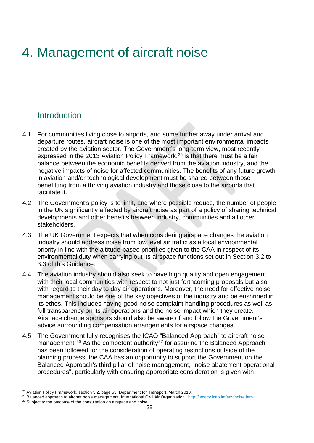# <span id="page-27-0"></span>4. Management of aircraft noise

#### <span id="page-27-1"></span>**Introduction**

- 4.1 For communities living close to airports, and some further away under arrival and departure routes, aircraft noise is one of the most important environmental impacts created by the aviation sector. The Government's long-term view, most recently expressed in the 2013 Aviation Policy Framework, [25](#page-27-2) is that there must be a fair balance between the economic benefits derived from the aviation industry, and the negative impacts of noise for affected communities. The benefits of any future growth in aviation and/or technological development must be shared between those benefitting from a thriving aviation industry and those close to the airports that facilitate it.
- 4.2 The Government's policy is to limit, and where possible reduce, the number of people in the UK significantly affected by aircraft noise as part of a policy of sharing technical developments and other benefits between industry, communities and all other stakeholders.
- 4.3 The UK Government expects that when considering airspace changes the aviation industry should address noise from low level air traffic as a local environmental priority in line with the altitude-based priorities given to the CAA in respect of its environmental duty when carrying out its airspace functions set out in Section 3.2 to 3.3 of this Guidance.
- 4.4 The aviation industry should also seek to have high quality and open engagement with their local communities with respect to not just forthcoming proposals but also with regard to their day to day air operations. Moreover, the need for effective noise management should be one of the key objectives of the industry and be enshrined in its ethos. This includes having good noise complaint handling procedures as well as full transparency on its air operations and the noise impact which they create. Airspace change sponsors should also be aware of and follow the Government's advice surrounding compensation arrangements for airspace changes.
- 4.5 The Government fully recognises the ICAO "Balanced Approach" to aircraft noise management.<sup>[26](#page-27-3)</sup> As the competent authority<sup>[27](#page-27-4)</sup> for assuring the Balanced Approach has been followed for the consideration of operating restrictions outside of the planning process, the CAA has an opportunity to support the Government on the Balanced Approach's third pillar of noise management, "noise abatement operational procedures", particularly with ensuring appropriate consideration is given with

<span id="page-27-2"></span><sup>&</sup>lt;sup>25</sup> Aviation Policy Framework, section 3.2, page 55, Department for Transport, March 2013.

<span id="page-27-3"></span><sup>26</sup> Balanced approach to aircraft noise management, International Civil Air Organization. [http://legacy.icao.int/env/noise.htm.](http://legacy.icao.int/env/noise.htm)

<span id="page-27-4"></span> $27$  Subject to the outcome of the consultation on airspace and noise.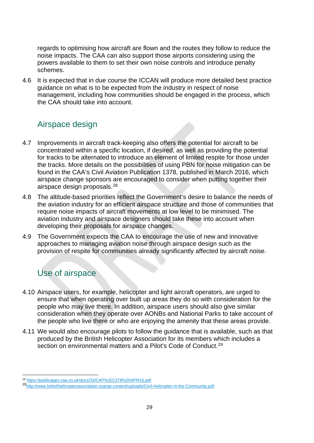regards to optimising how aircraft are flown and the routes they follow to reduce the noise impacts. The CAA can also support those airports considering using the powers available to them to set their own noise controls and introduce penalty schemes.

4.6 It is expected that in due course the ICCAN will produce more detailed best practice guidance on what is to be expected from the industry in respect of noise management, including how communities should be engaged in the process, which the CAA should take into account.

#### <span id="page-28-0"></span>Airspace design

- 4.7 Improvements in aircraft track-keeping also offers the potential for aircraft to be concentrated within a specific location, if desired, as well as providing the potential for tracks to be alternated to introduce an element of limited respite for those under the tracks. More details on the possibilities of using PBN for noise mitigation can be found in the CAA's Civil Aviation Publication 1378, published in March 2016, which airspace change sponsors are encouraged to consider when putting together their airspace design proposals.[28](#page-28-2)
- 4.8 The altitude-based priorities reflect the Government's desire to balance the needs of the aviation industry for an efficient airspace structure and those of communities that require noise impacts of aircraft movements at low level to be minimised. The aviation industry and airspace designers should take these into account when developing their proposals for airspace changes.
- 4.9 The Government expects the CAA to encourage the use of new and innovative approaches to managing aviation noise through airspace design such as the provision of respite for communities already significantly affected by aircraft noise.

## <span id="page-28-1"></span>Use of airspace

- 4.10 Airspace users, for example, helicopter and light aircraft operators, are urged to ensure that when operating over built up areas they do so with consideration for the people who may live there. In addition, airspace users should also give similar consideration when they operate over AONBs and National Parks to take account of the people who live there or who are enjoying the amenity that these areas provide.
- 4.11 We would also encourage pilots to follow the guidance that is available, such as that produced by the British Helicopter Association for its members which includes a section on environmental matters and a Pilot's Code of Conduct.<sup>[29](#page-28-3)</sup>

<span id="page-28-2"></span><sup>&</sup>lt;sup>28</sup> [https://publicapps.caa.co.uk/docs/33/CAP%201378%20APR16.pdf.](https://publicapps.caa.co.uk/docs/33/CAP%201378%20APR16.pdf)

<span id="page-28-3"></span><sup>2</sup>[9http://www.britishhelicopterassociation.org/wp-content/uploads/Civil-Helicopter-in-the-Community.pdf.](http://www.britishhelicopterassociation.org/wp-content/uploads/Civil-Helicopter-in-the-Community.pdf)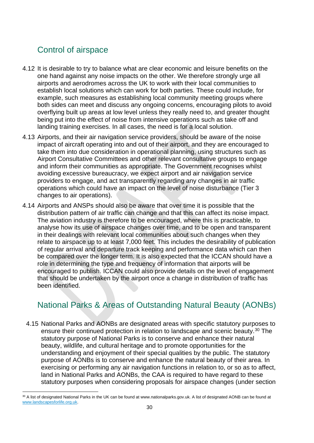### <span id="page-29-0"></span>Control of airspace

- 4.12 It is desirable to try to balance what are clear economic and leisure benefits on the one hand against any noise impacts on the other. We therefore strongly urge all airports and aerodromes across the UK to work with their local communities to establish local solutions which can work for both parties. These could include, for example, such measures as establishing local community meeting groups where both sides can meet and discuss any ongoing concerns, encouraging pilots to avoid overflying built up areas at low level unless they really need to, and greater thought being put into the effect of noise from intensive operations such as take off and landing training exercises. In all cases, the need is for a local solution.
- 4.13 Airports, and their air navigation service providers, should be aware of the noise impact of aircraft operating into and out of their airport, and they are encouraged to take them into due consideration in operational planning, using structures such as Airport Consultative Committees and other relevant consultative groups to engage and inform their communities as appropriate. The Government recognises whilst avoiding excessive bureaucracy, we expect airport and air navigation service providers to engage, and act transparently regarding any changes in air traffic operations which could have an impact on the level of noise disturbance (Tier 3 changes to air operations).
- 4.14 Airports and ANSPs should also be aware that over time it is possible that the distribution pattern of air traffic can change and that this can affect its noise impact. The aviation industry is therefore to be encouraged, where this is practicable, to analyse how its use of airspace changes over time, and to be open and transparent in their dealings with relevant local communities about such changes when they relate to airspace up to at least 7,000 feet. This includes the desirability of publication of regular arrival and departure track keeping and performance data which can then be compared over the longer term. It is also expected that the ICCAN should have a role in determining the type and frequency of information that airports will be encouraged to publish. ICCAN could also provide details on the level of engagement that should be undertaken by the airport once a change in distribution of traffic has been identified.

### <span id="page-29-1"></span>National Parks & Areas of Outstanding Natural Beauty (AONBs)

4.15 National Parks and AONBs are designated areas with specific statutory purposes to ensure their continued protection in relation to landscape and scenic beauty.<sup>[30](#page-29-2)</sup> The statutory purpose of National Parks is to conserve and enhance their natural beauty, wildlife, and cultural heritage and to promote opportunities for the understanding and enjoyment of their special qualities by the public. The statutory purpose of AONBs is to conserve and enhance the natural beauty of their area. In exercising or performing any air navigation functions in relation to, or so as to affect, land in National Parks and AONBs, the CAA is required to have regard to these statutory purposes when considering proposals for airspace changes (under section

<span id="page-29-2"></span><sup>30</sup> A list of designated National Parks in the UK can be found at www.nationalparks.gov.uk. A list of designated AONB can be found at [www.landscapesforlife.org.uk.](http://www.landscapesforlife.org.uk/)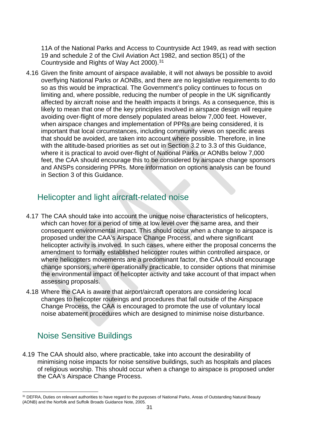11A of the National Parks and Access to Countryside Act 1949, as read with section 19 and schedule 2 of the Civil Aviation Act 1982, and section 85(1) of the Countryside and Rights of Way Act 2000). [31](#page-30-2)

4.16 Given the finite amount of airspace available, it will not always be possible to avoid overflying National Parks or AONBs, and there are no legislative requirements to do so as this would be impractical. The Government's policy continues to focus on limiting and, where possible, reducing the number of people in the UK significantly affected by aircraft noise and the health impacts it brings. As a consequence, this is likely to mean that one of the key principles involved in airspace design will require avoiding over-flight of more densely populated areas below 7,000 feet. However, when airspace changes and implementation of PPRs are being considered, it is important that local circumstances, including community views on specific areas that should be avoided, are taken into account where possible. Therefore, in line with the altitude-based priorities as set out in Section 3.2 to 3.3 of this Guidance, where it is practical to avoid over-flight of National Parks or AONBs below 7,000 feet, the CAA should encourage this to be considered by airspace change sponsors and ANSPs considering PPRs. More information on options analysis can be found in Section 3 of this Guidance.

#### <span id="page-30-0"></span>Helicopter and light aircraft-related noise

- 4.17 The CAA should take into account the unique noise characteristics of helicopters, which can hover for a period of time at low level over the same area, and their consequent environmental impact. This should occur when a change to airspace is proposed under the CAA's Airspace Change Process, and where significant helicopter activity is involved. In such cases, where either the proposal concerns the amendment to formally established helicopter routes within controlled airspace, or where helicopters movements are a predominant factor, the CAA should encourage change sponsors, where operationally practicable, to consider options that minimise the environmental impact of helicopter activity and take account of that impact when assessing proposals.
- 4.18 Where the CAA is aware that airport/aircraft operators are considering local changes to helicopter routeings and procedures that fall outside of the Airspace Change Process, the CAA is encouraged to promote the use of voluntary local noise abatement procedures which are designed to minimise noise disturbance.

### <span id="page-30-1"></span>Noise Sensitive Buildings

4.19 The CAA should also, where practicable, take into account the desirability of minimising noise impacts for noise sensitive buildings, such as hospitals and places of religious worship. This should occur when a change to airspace is proposed under the CAA's Airspace Change Process.

<span id="page-30-2"></span><sup>&</sup>lt;sup>31</sup> DEFRA, Duties on relevant authorities to have regard to the purposes of National Parks, Areas of Outstanding Natural Beauty (AONB) and the Norfolk and Suffolk Broads Guidance Note, 2005.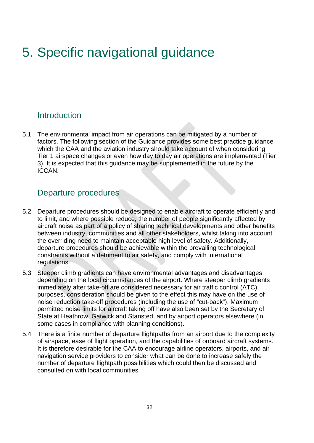# <span id="page-31-0"></span>5. Specific navigational guidance

#### <span id="page-31-1"></span>**Introduction**

5.1 The environmental impact from air operations can be mitigated by a number of factors. The following section of the Guidance provides some best practice guidance which the CAA and the aviation industry should take account of when considering Tier 1 airspace changes or even how day to day air operations are implemented (Tier 3). It is expected that this guidance may be supplemented in the future by the ICCAN.

#### <span id="page-31-2"></span>Departure procedures

- 5.2 Departure procedures should be designed to enable aircraft to operate efficiently and to limit, and where possible reduce, the number of people significantly affected by aircraft noise as part of a policy of sharing technical developments and other benefits between industry, communities and all other stakeholders, whilst taking into account the overriding need to maintain acceptable high level of safety. Additionally, departure procedures should be achievable within the prevailing technological constraints without a detriment to air safety, and comply with international regulations.
- 5.3 Steeper climb gradients can have environmental advantages and disadvantages depending on the local circumstances of the airport. Where steeper climb gradients immediately after take-off are considered necessary for air traffic control (ATC) purposes, consideration should be given to the effect this may have on the use of noise reduction take-off procedures (including the use of "cut-back"). Maximum permitted noise limits for aircraft taking off have also been set by the Secretary of State at Heathrow, Gatwick and Stansted, and by airport operators elsewhere (in some cases in compliance with planning conditions).
- 5.4 There is a finite number of departure flightpaths from an airport due to the complexity of airspace, ease of flight operation, and the capabilities of onboard aircraft systems. It is therefore desirable for the CAA to encourage airline operators, airports, and air navigation service providers to consider what can be done to increase safely the number of departure flightpath possibilities which could then be discussed and consulted on with local communities.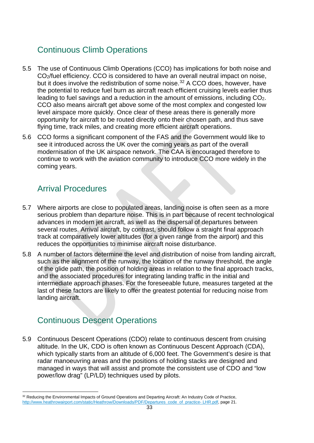### <span id="page-32-0"></span>Continuous Climb Operations

- 5.5 The use of Continuous Climb Operations (CCO) has implications for both noise and CO2/fuel efficiency. CCO is considered to have an overall neutral impact on noise, but it does involve the redistribution of some noise.<sup>[32](#page-32-3)</sup> A CCO does, however, have the potential to reduce fuel burn as aircraft reach efficient cruising levels earlier thus leading to fuel savings and a reduction in the amount of emissions, including CO2. CCO also means aircraft get above some of the most complex and congested low level airspace more quickly. Once clear of these areas there is generally more opportunity for aircraft to be routed directly onto their chosen path, and thus save flying time, track miles, and creating more efficient aircraft operations.
- 5.6 CCO forms a significant component of the FAS and the Government would like to see it introduced across the UK over the coming years as part of the overall modernisation of the UK airspace network. The CAA is encouraged therefore to continue to work with the aviation community to introduce CCO more widely in the coming years.

### <span id="page-32-1"></span>Arrival Procedures

- 5.7 Where airports are close to populated areas, landing noise is often seen as a more serious problem than departure noise. This is in part because of recent technological advances in modern jet aircraft, as well as the dispersal of departures between several routes. Arrival aircraft, by contrast, should follow a straight final approach track at comparatively lower altitudes (for a given range from the airport) and this reduces the opportunities to minimise aircraft noise disturbance.
- 5.8 A number of factors determine the level and distribution of noise from landing aircraft, such as the alignment of the runway, the location of the runway threshold, the angle of the glide path, the position of holding areas in relation to the final approach tracks, and the associated procedures for integrating landing traffic in the initial and intermediate approach phases. For the foreseeable future, measures targeted at the last of these factors are likely to offer the greatest potential for reducing noise from landing aircraft.

### <span id="page-32-2"></span>Continuous Descent Operations

5.9 Continuous Descent Operations (CDO) relate to continuous descent from cruising altitude. In the UK, CDO is often known as Continuous Descent Approach (CDA), which typically starts from an altitude of 6,000 feet. The Government's desire is that radar manoeuvring areas and the positions of holding stacks are designed and managed in ways that will assist and promote the consistent use of CDO and "low power/low drag" (LP/LD) techniques used by pilots.

<span id="page-32-3"></span><sup>32</sup> Reducing the Environmental Impacts of Ground Operations and Departing Aircraft: An Industry Code of Practice, [http://www.heathrowairport.com/static/Heathrow/Downloads/PDF/Departures\\_code\\_of\\_practice-](http://www.heathrowairport.com/static/Heathrow/Downloads/PDF/Departures_code_of_practice-%20LHR.pdf) LHR.pdf, page 21.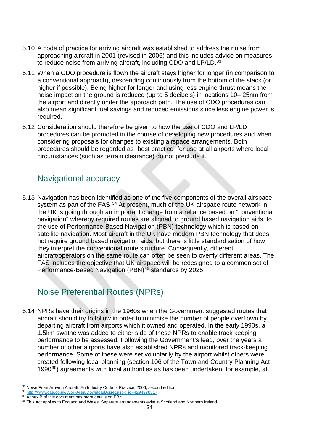- 5.10 A code of practice for arriving aircraft was established to address the noise from approaching aircraft in 2001 (revised in 2006) and this includes advice on measures to reduce noise from arriving aircraft, including CDO and LP/LD.<sup>[33](#page-33-2)</sup>
- 5.11 When a CDO procedure is flown the aircraft stays higher for longer (in comparison to a conventional approach), descending continuously from the bottom of the stack (or higher if possible). Being higher for longer and using less engine thrust means the noise impact on the ground is reduced (up to 5 decibels) in locations 10– 25nm from the airport and directly under the approach path. The use of CDO procedures can also mean significant fuel savings and reduced emissions since less engine power is required.
- 5.12 Consideration should therefore be given to how the use of CDO and LP/LD procedures can be promoted in the course of developing new procedures and when considering proposals for changes to existing airspace arrangements. Both procedures should be regarded as "best practice" for use at all airports where local circumstances (such as terrain clearance) do not preclude it.

### <span id="page-33-0"></span>Navigational accuracy

5.13 Navigation has been identified as one of the five components of the overall airspace system as part of the FAS.<sup>[34](#page-33-3)</sup> At present, much of the UK airspace route network in the UK is going through an important change from a reliance based on "conventional navigation" whereby required routes are aligned to ground based navigation aids, to the use of Performance-Based Navigation (PBN) technology which is based on satellite navigation. Most aircraft in the UK have modern PBN technology that does not require ground based navigation aids, but there is little standardisation of how they interpret the conventional route structure. Consequently, different aircraft/operators on the same route can often be seen to overfly different areas. The FAS includes the objective that UK airspace will be redesigned to a common set of Performance-Based Navigation (PBN)<sup>[35](#page-33-4)</sup> standards by 2025.

## <span id="page-33-1"></span>Noise Preferential Routes (NPRs)

5.14 NPRs have their origins in the 1960s when the Government suggested routes that aircraft should try to follow in order to minimise the number of people overflown by departing aircraft from airports which it owned and operated. In the early 1990s, a 1.5km swathe was added to either side of these NPRs to enable track keeping performance to be assessed. Following the Government's lead, over the years a number of other airports have also established NPRs and monitored track-keeping performance. Some of these were set voluntarily by the airport whilst others were created following local planning (section 106 of the Town and Country Planning Act 1990[36\)](#page-33-5) agreements with local authorities as has been undertaken, for example, at

<span id="page-33-2"></span><sup>33</sup> Noise From Arriving Aircraft: An Industry Code of Practice, 2006, second edition.

<span id="page-33-3"></span><sup>34</sup> [http://www.caa.co.uk/WorkArea/DownloadAsset.aspx?id=4294978317.](http://www.caa.co.uk/WorkArea/DownloadAsset.aspx?id=4294978317)

<span id="page-33-4"></span><sup>&</sup>lt;sup>35</sup> Annex B of this document has more details on PBN.

<span id="page-33-5"></span><sup>36</sup> This Act applies to England and Wales. Separate arrangements exist in Scotland and Northern Ireland.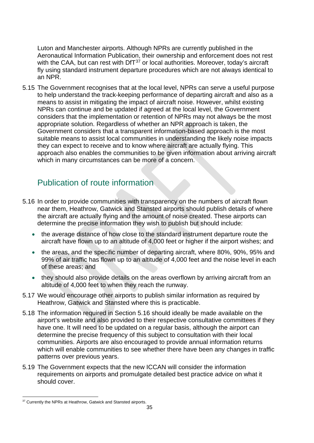Luton and Manchester airports. Although NPRs are currently published in the Aeronautical Information Publication, their ownership and enforcement does not rest with the CAA, but can rest with  $DT^{37}$  $DT^{37}$  $DT^{37}$  or local authorities. Moreover, today's aircraft fly using standard instrument departure procedures which are not always identical to an NPR.

5.15 The Government recognises that at the local level, NPRs can serve a useful purpose to help understand the track-keeping performance of departing aircraft and also as a means to assist in mitigating the impact of aircraft noise. However, whilst existing NPRs can continue and be updated if agreed at the local level, the Government considers that the implementation or retention of NPRs may not always be the most appropriate solution. Regardless of whether an NPR approach is taken, the Government considers that a transparent information-based approach is the most suitable means to assist local communities in understanding the likely noise impacts they can expect to receive and to know where aircraft are actually flying. This approach also enables the communities to be given information about arriving aircraft which in many circumstances can be more of a concern.

### <span id="page-34-0"></span>Publication of route information

- 5.16 In order to provide communities with transparency on the numbers of aircraft flown near them, Heathrow, Gatwick and Stansted airports should publish details of where the aircraft are actually flying and the amount of noise created. These airports can determine the precise information they wish to publish but should include:
	- the average distance of how close to the standard instrument departure route the aircraft have flown up to an altitude of 4,000 feet or higher if the airport wishes; and
	- the areas, and the specific number of departing aircraft, where 80%, 90%, 95% and 99% of air traffic has flown up to an altitude of 4,000 feet and the noise level in each of these areas; and
	- they should also provide details on the areas overflown by arriving aircraft from an altitude of 4,000 feet to when they reach the runway.
- 5.17 We would encourage other airports to publish similar information as required by Heathrow, Gatwick and Stansted where this is practicable.
- 5.18 The information required in Section 5.16 should ideally be made available on the airport's website and also provided to their respective consultative committees if they have one. It will need to be updated on a regular basis, although the airport can determine the precise frequency of this subject to consultation with their local communities. Airports are also encouraged to provide annual information returns which will enable communities to see whether there have been any changes in traffic patterns over previous years.
- 5.19 The Government expects that the new ICCAN will consider the information requirements on airports and promulgate detailed best practice advice on what it should cover.

<span id="page-34-1"></span><sup>&</sup>lt;sup>37</sup> Currently the NPRs at Heathrow, Gatwick and Stansted airports.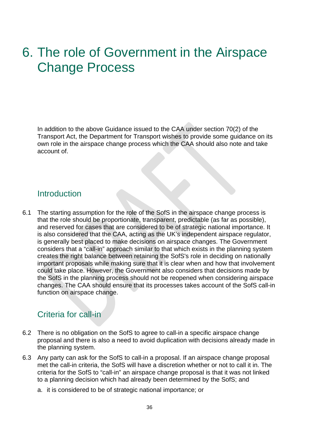# <span id="page-35-0"></span>6. The role of Government in the Airspace Change Process

In addition to the above Guidance issued to the CAA under section 70(2) of the Transport Act, the Department for Transport wishes to provide some guidance on its own role in the airspace change process which the CAA should also note and take account of.

#### <span id="page-35-1"></span>**Introduction**

6.1 The starting assumption for the role of the SofS in the airspace change process is that the role should be proportionate, transparent, predictable (as far as possible), and reserved for cases that are considered to be of strategic national importance. It is also considered that the CAA, acting as the UK's independent airspace regulator, is generally best placed to make decisions on airspace changes. The Government considers that a "call-in" approach similar to that which exists in the planning system creates the right balance between retaining the SofS's role in deciding on nationally important proposals while making sure that it is clear when and how that involvement could take place. However, the Government also considers that decisions made by the SofS in the planning process should not be reopened when considering airspace changes. The CAA should ensure that its processes takes account of the SofS call-in function on airspace change.

#### <span id="page-35-2"></span>Criteria for call-in

- 6.2 There is no obligation on the SofS to agree to call-in a specific airspace change proposal and there is also a need to avoid duplication with decisions already made in the planning system.
- 6.3 Any party can ask for the SofS to call-in a proposal. If an airspace change proposal met the call-in criteria, the SofS will have a discretion whether or not to call it in. The criteria for the SofS to "call-in" an airspace change proposal is that it was not linked to a planning decision which had already been determined by the SofS; and
	- a. it is considered to be of strategic national importance; or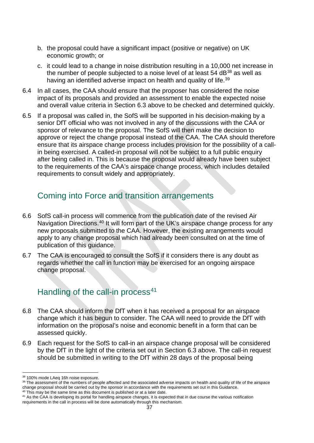- b. the proposal could have a significant impact (positive or negative) on UK economic growth; or
- c. it could lead to a change in noise distribution resulting in a 10,000 net increase in the number of people subjected to a noise level of at least  $54$  dB $^{38}$  $^{38}$  $^{38}$  as well as having an identified adverse impact on health and quality of life.<sup>[39](#page-36-3)</sup>
- 6.4 In all cases, the CAA should ensure that the proposer has considered the noise impact of its proposals and provided an assessment to enable the expected noise and overall value criteria in Section 6.3 above to be checked and determined quickly.
- 6.5 If a proposal was called in, the SofS will be supported in his decision-making by a senior DfT official who was not involved in any of the discussions with the CAA or sponsor of relevance to the proposal. The SofS will then make the decision to approve or reject the change proposal instead of the CAA. The CAA should therefore ensure that its airspace change process includes provision for the possibility of a callin being exercised. A called-in proposal will not be subject to a full public enquiry after being called in. This is because the proposal would already have been subject to the requirements of the CAA's airspace change process, which includes detailed requirements to consult widely and appropriately.

## <span id="page-36-0"></span>Coming into Force and transition arrangements

- 6.6 SofS call-in process will commence from the publication date of the revised Air Navigation Directions.<sup>[40](#page-36-4)</sup> It will form part of the UK's airspace change process for any new proposals submitted to the CAA. However, the existing arrangements would apply to any change proposal which had already been consulted on at the time of publication of this guidance.
- 6.7 The CAA is encouraged to consult the SofS if it considers there is any doubt as regards whether the call in function may be exercised for an ongoing airspace change proposal.

## <span id="page-36-1"></span>Handling of the call-in process<sup>[41](#page-36-5)</sup>

- 6.8 The CAA should inform the DfT when it has received a proposal for an airspace change which it has begun to consider. The CAA will need to provide the DfT with information on the proposal's noise and economic benefit in a form that can be assessed quickly.
- 6.9 Each request for the SofS to call-in an airspace change proposal will be considered by the DfT in the light of the criteria set out in Section 6.3 above. The call-in request should be submitted in writing to the DfT within 28 days of the proposal being

<span id="page-36-5"></span><sup>41</sup> As the CAA is developing its portal for handling airspace changes, it is expected that in due course the various notification requirements in the call in process will be done automatically through this mechanism.

<span id="page-36-2"></span><sup>38 100%</sup> mode LAeq 16h noise exposure.

<span id="page-36-3"></span><sup>&</sup>lt;sup>39</sup> The assessment of the numbers of people affected and the associated adverse impacts on health and quality of life of the airspace change proposal should be carried out by the sponsor in accordance with the requirements set out in this Guidance.

<span id="page-36-4"></span><sup>40</sup> This may be the same time as this document is published or at a later date.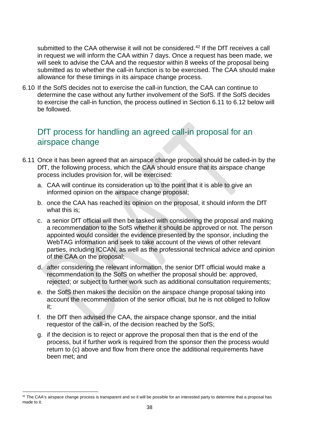submitted to the CAA otherwise it will not be considered. [42](#page-37-1) If the DfT receives a call in request we will inform the CAA within 7 days. Once a request has been made, we will seek to advise the CAA and the requestor within 8 weeks of the proposal being submitted as to whether the call-in function is to be exercised. The CAA should make allowance for these timings in its airspace change process.

6.10 If the SofS decides not to exercise the call-in function, the CAA can continue to determine the case without any further involvement of the SofS. If the SofS decides to exercise the call-in function, the process outlined in Section 6.11 to 6.12 below will be followed.

#### <span id="page-37-0"></span>DfT process for handling an agreed call-in proposal for an airspace change

- 6.11 Once it has been agreed that an airspace change proposal should be called-in by the DfT, the following process, which the CAA should ensure that its airspace change process includes provision for, will be exercised:
	- a. CAA will continue its consideration up to the point that it is able to give an informed opinion on the airspace change proposal;
	- b. once the CAA has reached its opinion on the proposal, it should inform the DfT what this is;
	- c. a senior DfT official will then be tasked with considering the proposal and making a recommendation to the SofS whether it should be approved or not. The person appointed would consider the evidence presented by the sponsor, including the WebTAG information and seek to take account of the views of other relevant parties, including ICCAN, as well as the professional technical advice and opinion of the CAA on the proposal;
	- d. after considering the relevant information, the senior DfT official would make a recommendation to the SofS on whether the proposal should be: approved, rejected; or subject to further work such as additional consultation requirements;
	- e. the SofS then makes the decision on the airspace change proposal taking into account the recommendation of the senior official, but he is not obliged to follow it;
	- f. the DfT then advised the CAA, the airspace change sponsor, and the initial requestor of the call-in, of the decision reached by the SofS;
	- g. if the decision is to reject or approve the proposal then that is the end of the process, but if further work is required from the sponsor then the process would return to (c) above and flow from there once the additional requirements have been met; and

<span id="page-37-1"></span> $42$  The CAA's airspace change process is transparent and so it will be possible for an interested party to determine that a proposal has made to it.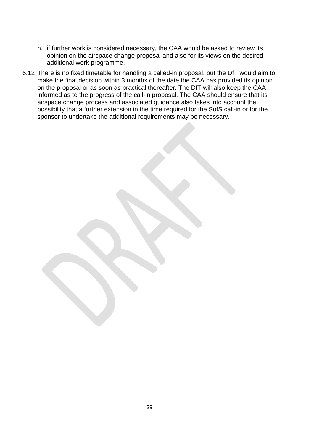- h. if further work is considered necessary, the CAA would be asked to review its opinion on the airspace change proposal and also for its views on the desired additional work programme.
- 6.12 There is no fixed timetable for handling a called-in proposal, but the DfT would aim to make the final decision within 3 months of the date the CAA has provided its opinion on the proposal or as soon as practical thereafter. The DfT will also keep the CAA informed as to the progress of the call-in proposal. The CAA should ensure that its airspace change process and associated guidance also takes into account the possibility that a further extension in the time required for the SofS call-in or for the sponsor to undertake the additional requirements may be necessary.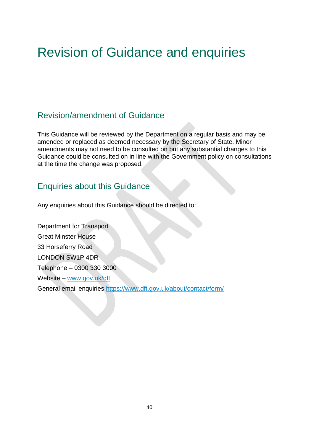# Revision of Guidance and enquiries

#### <span id="page-39-0"></span>Revision/amendment of Guidance

This Guidance will be reviewed by the Department on a regular basis and may be amended or replaced as deemed necessary by the Secretary of State. Minor amendments may not need to be consulted on but any substantial changes to this Guidance could be consulted on in line with the Government policy on consultations at the time the change was proposed.

#### <span id="page-39-1"></span>Enquiries about this Guidance

Any enquiries about this Guidance should be directed to:

Department for Transport Great Minster House 33 Horseferry Road LONDON SW1P 4DR Telephone – 0300 330 3000 Website – [www.gov.uk/dft](http://www.gov.uk/dft) General email enquiries<https://www.dft.gov.uk/about/contact/form/>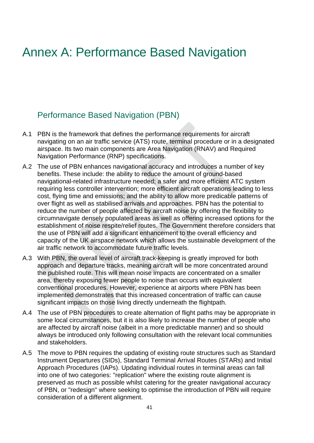# <span id="page-40-0"></span>Annex A: Performance Based Navigation

#### <span id="page-40-1"></span>Performance Based Navigation (PBN)

- A.1 PBN is the framework that defines the performance requirements for aircraft navigating on an air traffic service (ATS) route, terminal procedure or in a designated airspace. Its two main components are Area Navigation (RNAV) and Required Navigation Performance (RNP) specifications.
- A.2 The use of PBN enhances navigational accuracy and introduces a number of key benefits. These include: the ability to reduce the amount of ground-based navigational-related infrastructure needed; a safer and more efficient ATC system requiring less controller intervention; more efficient aircraft operations leading to less cost, flying time and emissions; and the ability to allow more predicable patterns of over flight as well as stabilised arrivals and approaches. PBN has the potential to reduce the number of people affected by aircraft noise by offering the flexibility to circumnavigate densely populated areas as well as offering increased options for the establishment of noise respite/relief routes. The Government therefore considers that the use of PBN will add a significant enhancement to the overall efficiency and capacity of the UK airspace network which allows the sustainable development of the air traffic network to accommodate future traffic levels.
- A.3 With PBN, the overall level of aircraft track-keeping is greatly improved for both approach and departure tracks, meaning aircraft will be more concentrated around the published route. This will mean noise impacts are concentrated on a smaller area, thereby exposing fewer people to noise than occurs with equivalent conventional procedures. However, experience at airports where PBN has been implemented demonstrates that this increased concentration of traffic can cause significant impacts on those living directly underneath the flightpath.
- A.4 The use of PBN procedures to create alternation of flight paths may be appropriate in some local circumstances, but it is also likely to increase the number of people who are affected by aircraft noise (albeit in a more predictable manner) and so should always be introduced only following consultation with the relevant local communities and stakeholders.
- A.5 The move to PBN requires the updating of existing route structures such as Standard Instrument Departures (SIDs), Standard Terminal Arrival Routes (STARs) and Initial Approach Procedures (IAPs). Updating individual routes in terminal areas can fall into one of two categories: "replication" where the existing route alignment is preserved as much as possible whilst catering for the greater navigational accuracy of PBN, or "redesign" where seeking to optimise the introduction of PBN will require consideration of a different alignment.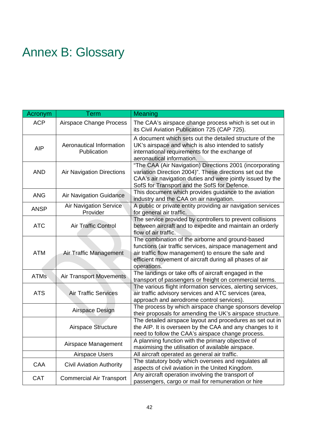# <span id="page-41-0"></span>Annex B: Glossary

| Acronym     | Term                                      | Meaning                                                                                                                                                                                                                                       |
|-------------|-------------------------------------------|-----------------------------------------------------------------------------------------------------------------------------------------------------------------------------------------------------------------------------------------------|
| <b>ACP</b>  | Airspace Change Process                   | The CAA's airspace change process which is set out in<br>its Civil Aviation Publication 725 (CAP 725).                                                                                                                                        |
| <b>AIP</b>  | Aeronautical Information<br>Publication   | A document which sets out the detailed structure of the<br>UK's airspace and which is also intended to satisfy<br>international requirements for the exchange of<br>aeronautical information.                                                 |
| <b>AND</b>  | <b>Air Navigation Directions</b>          | "The CAA (Air Navigation) Directions 2001 (incorporating<br>variation Direction 2004)". These directions set out the<br>CAA's air navigation duties and were jointly issued by the<br>SofS for Transport and the SofS for Defence.            |
| <b>ANG</b>  | <b>Air Navigation Guidance</b>            | This document which provides guidance to the aviation<br>industry and the CAA on air navigation.                                                                                                                                              |
| <b>ANSP</b> | <b>Air Navigation Service</b><br>Provider | A public or private entity providing air navigation services<br>for general air traffic.                                                                                                                                                      |
| <b>ATC</b>  | <b>Air Traffic Control</b>                | The service provided by controllers to prevent collisions<br>between aircraft and to expedite and maintain an orderly<br>flow of air traffic.                                                                                                 |
| <b>ATM</b>  | Air Traffic Management                    | The combination of the airborne and ground-based<br>functions (air traffic services, airspace management and<br>air traffic flow management) to ensure the safe and<br>efficient movement of aircraft during all phases of air<br>operations. |
| <b>ATMs</b> | <b>Air Transport Movements</b>            | The landings or take offs of aircraft engaged in the<br>transport of passengers or freight on commercial terms.                                                                                                                               |
| <b>ATS</b>  | <b>Air Traffic Services</b>               | The various flight information services, alerting services,<br>air traffic advisory services and ATC services (area,<br>approach and aerodrome control services).                                                                             |
|             | Airspace Design                           | The process by which airspace change sponsors develop<br>their proposals for amending the UK's airspace structure.                                                                                                                            |
|             | Airspace Structure                        | The detailed airspace layout and procedures as set out in<br>the AIP. It is overseen by the CAA and any changes to it<br>need to follow the CAA's airspace change process.                                                                    |
|             | Airspace Management                       | A planning function with the primary objective of<br>maximising the utilisation of available airspace.                                                                                                                                        |
|             | Airspace Users                            | All aircraft operated as general air traffic.                                                                                                                                                                                                 |
| CAA         | <b>Civil Aviation Authority</b>           | The statutory body which oversees and regulates all<br>aspects of civil aviation in the United Kingdom.                                                                                                                                       |
| <b>CAT</b>  | <b>Commercial Air Transport</b>           | Any aircraft operation involving the transport of<br>passengers, cargo or mail for remuneration or hire                                                                                                                                       |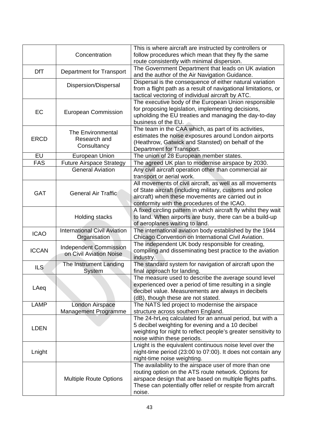|              | Concentration                                            | This is where aircraft are instructed by controllers or<br>follow procedures which mean that they fly the same<br>route consistently with minimal dispersion.                                                                                        |
|--------------|----------------------------------------------------------|------------------------------------------------------------------------------------------------------------------------------------------------------------------------------------------------------------------------------------------------------|
| <b>DfT</b>   | <b>Department for Transport</b>                          | The Government Department that leads on UK aviation<br>and the author of the Air Navigation Guidance.                                                                                                                                                |
|              | Dispersion/Dispersal                                     | Dispersal is the consequence of either natural variation<br>from a flight path as a result of navigational limitations, or<br>tactical vectoring of individual aircraft by ATC.                                                                      |
| EC           | <b>European Commission</b>                               | The executive body of the European Union responsible<br>for proposing legislation, implementing decisions,<br>upholding the EU treaties and managing the day-to-day<br>business of the EU.                                                           |
| <b>ERCD</b>  | The Environmental<br>Research and<br>Consultancy         | The team in the CAA which, as part of its activities,<br>estimates the noise exposures around London airports<br>(Heathrow, Gatwick and Stansted) on behalf of the<br>Department for Transport.                                                      |
| EU           | European Union                                           | The union of 28 European member states.                                                                                                                                                                                                              |
| <b>FAS</b>   | <b>Future Airspace Strategy</b>                          | The agreed UK plan to modernise airspace by 2030.                                                                                                                                                                                                    |
|              | <b>General Aviation</b>                                  | Any civil aircraft operation other than commercial air<br>transport or aerial work.                                                                                                                                                                  |
| <b>GAT</b>   | <b>General Air Traffic</b>                               | All movements of civil aircraft, as well as all movements<br>of State aircraft (including military, customs and police<br>aircraft) when these movements are carried out in<br>conformity with the procedures of the ICAO.                           |
|              | <b>Holding stacks</b>                                    | A fixed circling pattern in which aircraft fly whilst they wait<br>to land. When airports are busy, there can be a build-up<br>of aeroplanes waiting to land.                                                                                        |
| <b>ICAO</b>  | <b>International Civil Aviation</b><br>Organisation      | The international aviation body established by the 1944<br>Chicago Convention on International Civil Aviation.                                                                                                                                       |
| <b>ICCAN</b> | <b>Independent Commission</b><br>on Civil Aviation Noise | The independent UK body responsible for creating,<br>compiling and disseminating best practice to the aviation<br>industry.                                                                                                                          |
| <b>ILS</b>   | The Instrument Landing<br>System                         | The standard system for navigation of aircraft upon the<br>final approach for landing.                                                                                                                                                               |
| LAeq         |                                                          | The measure used to describe the average sound level<br>experienced over a period of time resulting in a single<br>decibel value. Measurements are always in decibels<br>(dB), though these are not stated.                                          |
| <b>LAMP</b>  | London Airspace<br><b>Management Programme</b>           | The NATS led project to modernise the airspace<br>structure across southern England.                                                                                                                                                                 |
| <b>LDEN</b>  |                                                          | The 24-hrLeq calculated for an annual period, but with a<br>5 decibel weighting for evening and a 10 decibel<br>weighting for night to reflect people's greater sensitivity to<br>noise within these periods.                                        |
| Lnight       |                                                          | Lnight is the equivalent continuous noise level over the<br>night-time period (23:00 to 07:00). It does not contain any<br>night-time noise weighting.                                                                                               |
|              | <b>Multiple Route Options</b>                            | The availability to the airspace user of more than one<br>routing option on the ATS route network. Options for<br>airspace design that are based on multiple flights paths.<br>These can potentially offer relief or respite from aircraft<br>noise. |